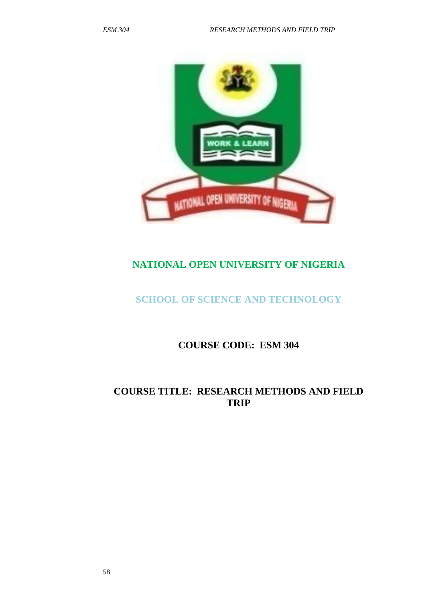

# **NATIONAL OPEN UNIVERSITY OF NIGERIA**

# **SCHOOL OF SCIENCE AND TECHNOLOGY**

# **COURSE CODE: ESM 304**

# **COURSE TITLE: RESEARCH METHODS AND FIELD TRIP**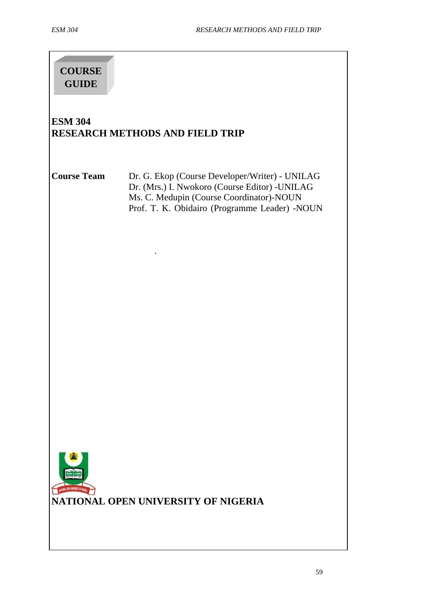# **COURSE GUIDE**

## **ESM 304 RESEARCH METHODS AND FIELD TRIP**

.

**Course Team** Dr. G. Ekop (Course Developer/Writer) - UNILAG Dr. (Mrs.) I. Nwokoro (Course Editor) -UNILAG Ms. C. Medupin (Course Coordinator)-NOUN Prof. T. K. Obidairo (Programme Leader) -NOUN

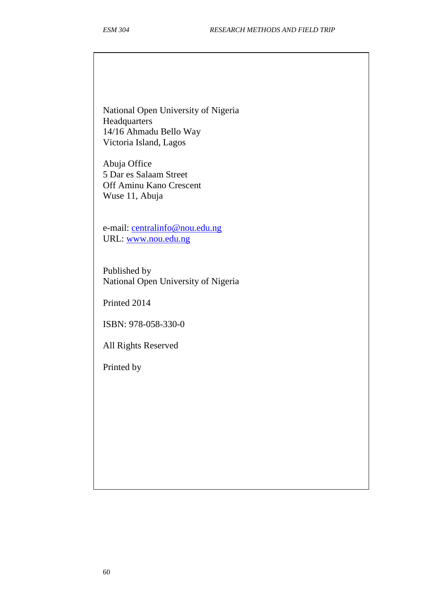National Open University of Nigeria **Headquarters** 14/16 Ahmadu Bello Way Victoria Island, Lagos

Abuja Office 5 Dar es Salaam Street Off Aminu Kano Crescent Wuse 11, Abuja

e-mail: [centralinfo@nou.edu.ng](mailto:centralinfo@nou.edu.ng) URL: [www.nou.edu.ng](http://www.nou.edu.ng/)

Published by National Open University of Nigeria

Printed 2014

ISBN: 978-058-330-0

All Rights Reserved

Printed by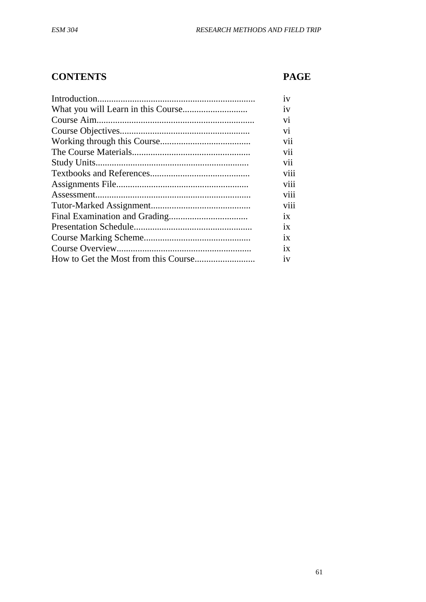# **CONTENTS PAGE**

| 1V               |
|------------------|
| 1V               |
| vi               |
| vi               |
| vii              |
| vii              |
| vii              |
| viii             |
| V <sub>111</sub> |
| viii             |
| viii             |
| 1X               |
| 1X               |
| 1X               |
| ix               |
| iv               |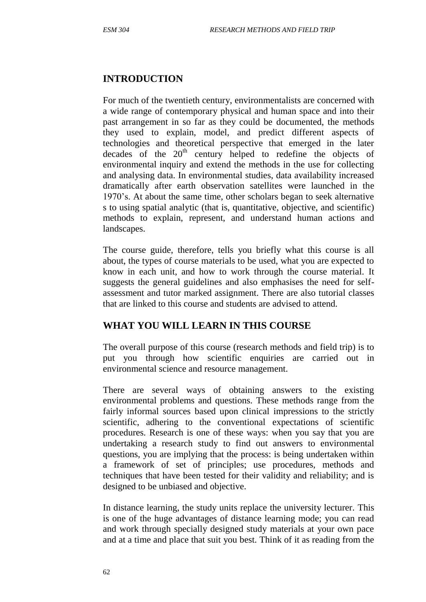#### **INTRODUCTION**

For much of the twentieth century, environmentalists are concerned with a wide range of contemporary physical and human space and into their past arrangement in so far as they could be documented, the methods they used to explain, model, and predict different aspects of technologies and theoretical perspective that emerged in the later decades of the  $20<sup>th</sup>$  century helped to redefine the objects of environmental inquiry and extend the methods in the use for collecting and analysing data. In environmental studies, data availability increased dramatically after earth observation satellites were launched in the 1970's. At about the same time, other scholars began to seek alternative s to using spatial analytic (that is, quantitative, objective, and scientific) methods to explain, represent, and understand human actions and landscapes.

The course guide, therefore, tells you briefly what this course is all about, the types of course materials to be used, what you are expected to know in each unit, and how to work through the course material. It suggests the general guidelines and also emphasises the need for selfassessment and tutor marked assignment. There are also tutorial classes that are linked to this course and students are advised to attend.

#### **WHAT YOU WILL LEARN IN THIS COURSE**

The overall purpose of this course (research methods and field trip) is to put you through how scientific enquiries are carried out in environmental science and resource management.

There are several ways of obtaining answers to the existing environmental problems and questions. These methods range from the fairly informal sources based upon clinical impressions to the strictly scientific, adhering to the conventional expectations of scientific procedures. Research is one of these ways: when you say that you are undertaking a research study to find out answers to environmental questions, you are implying that the process: is being undertaken within a framework of set of principles; use procedures, methods and techniques that have been tested for their validity and reliability; and is designed to be unbiased and objective.

In distance learning, the study units replace the university lecturer. This is one of the huge advantages of distance learning mode; you can read and work through specially designed study materials at your own pace and at a time and place that suit you best. Think of it as reading from the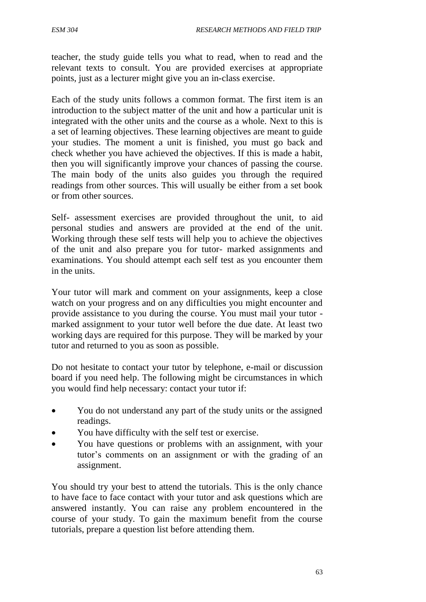teacher, the study guide tells you what to read, when to read and the relevant texts to consult. You are provided exercises at appropriate points, just as a lecturer might give you an in-class exercise.

Each of the study units follows a common format. The first item is an introduction to the subject matter of the unit and how a particular unit is integrated with the other units and the course as a whole. Next to this is a set of learning objectives. These learning objectives are meant to guide your studies. The moment a unit is finished, you must go back and check whether you have achieved the objectives. If this is made a habit, then you will significantly improve your chances of passing the course. The main body of the units also guides you through the required readings from other sources. This will usually be either from a set book or from other sources.

Self- assessment exercises are provided throughout the unit, to aid personal studies and answers are provided at the end of the unit. Working through these self tests will help you to achieve the objectives of the unit and also prepare you for tutor- marked assignments and examinations. You should attempt each self test as you encounter them in the units.

Your tutor will mark and comment on your assignments, keep a close watch on your progress and on any difficulties you might encounter and provide assistance to you during the course. You must mail your tutor marked assignment to your tutor well before the due date. At least two working days are required for this purpose. They will be marked by your tutor and returned to you as soon as possible.

Do not hesitate to contact your tutor by telephone, e-mail or discussion board if you need help. The following might be circumstances in which you would find help necessary: contact your tutor if:

- You do not understand any part of the study units or the assigned readings.
- You have difficulty with the self test or exercise.
- You have questions or problems with an assignment, with your tutor's comments on an assignment or with the grading of an assignment.

You should try your best to attend the tutorials. This is the only chance to have face to face contact with your tutor and ask questions which are answered instantly. You can raise any problem encountered in the course of your study. To gain the maximum benefit from the course tutorials, prepare a question list before attending them.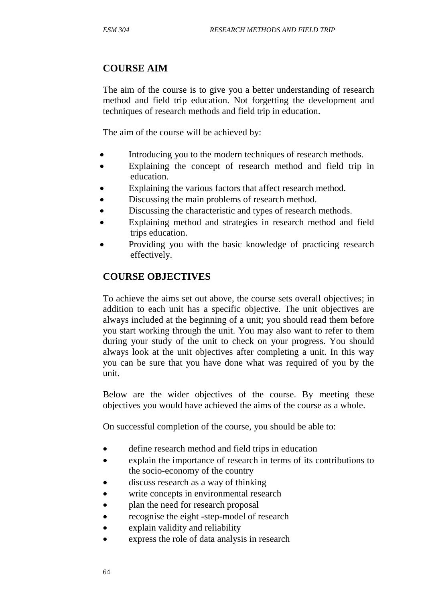## **COURSE AIM**

The aim of the course is to give you a better understanding of research method and field trip education. Not forgetting the development and techniques of research methods and field trip in education.

The aim of the course will be achieved by:

- Introducing you to the modern techniques of research methods.
- Explaining the concept of research method and field trip in education.
- Explaining the various factors that affect research method.
- Discussing the main problems of research method.
- Discussing the characteristic and types of research methods.
- Explaining method and strategies in research method and field trips education.
- Providing you with the basic knowledge of practicing research effectively.

#### **COURSE OBJECTIVES**

To achieve the aims set out above, the course sets overall objectives; in addition to each unit has a specific objective. The unit objectives are always included at the beginning of a unit; you should read them before you start working through the unit. You may also want to refer to them during your study of the unit to check on your progress. You should always look at the unit objectives after completing a unit. In this way you can be sure that you have done what was required of you by the unit.

Below are the wider objectives of the course. By meeting these objectives you would have achieved the aims of the course as a whole.

On successful completion of the course, you should be able to:

- define research method and field trips in education
- explain the importance of research in terms of its contributions to the socio-economy of the country
- discuss research as a way of thinking
- write concepts in environmental research
- plan the need for research proposal
- recognise the eight -step-model of research
- explain validity and reliability
- express the role of data analysis in research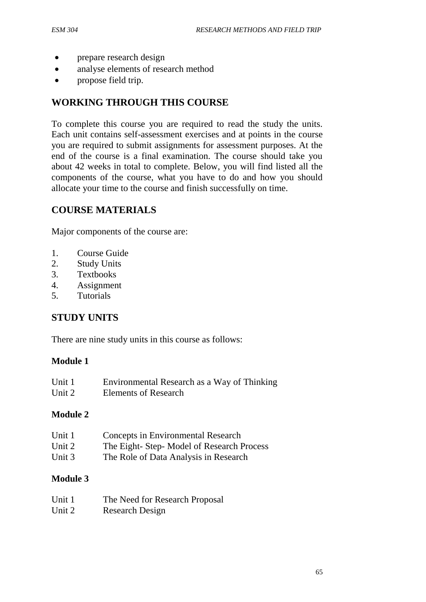- prepare research design
- analyse elements of research method
- propose field trip.

## **WORKING THROUGH THIS COURSE**

To complete this course you are required to read the study the units. Each unit contains self-assessment exercises and at points in the course you are required to submit assignments for assessment purposes. At the end of the course is a final examination. The course should take you about 42 weeks in total to complete. Below, you will find listed all the components of the course, what you have to do and how you should allocate your time to the course and finish successfully on time.

# **COURSE MATERIALS**

Major components of the course are:

- 1. Course Guide
- 2. Study Units
- 3. Textbooks
- 4. Assignment
- 5. Tutorials

# **STUDY UNITS**

There are nine study units in this course as follows:

#### **Module 1**

| Unit 1 | Environmental Research as a Way of Thinking |
|--------|---------------------------------------------|
| Unit 2 | <b>Elements of Research</b>                 |

#### **Module 2**

| Unit 1 | Concepts in Environmental Research       |
|--------|------------------------------------------|
| Unit 2 | The Eight-Step-Model of Research Process |
| Unit 3 | The Role of Data Analysis in Research    |

#### **Module 3**

| Unit 1 | The Need for Research Proposal |
|--------|--------------------------------|
| Unit 2 | Research Design                |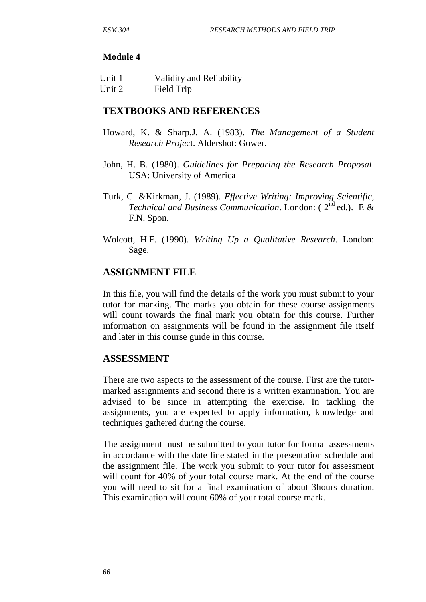#### **Module 4**

| Unit 1 | Validity and Reliability |
|--------|--------------------------|
| Unit 2 | Field Trip               |

#### **TEXTBOOKS AND REFERENCES**

- Howard, K. & Sharp,J. A. (1983). *The Management of a Student Research Proje*ct. Aldershot: Gower.
- John, H. B. (1980). *Guidelines for Preparing the Research Proposal*. USA: University of America
- Turk, C. &Kirkman, J. (1989). *Effective Writing: Improving Scientific,*  Technical and Business Communication. London:  $(2^{\overline{nd}}$ ed.). E & F.N. Spon.
- Wolcott, H.F. (1990). *Writing Up a Qualitative Research*. London: Sage.

#### **ASSIGNMENT FILE**

In this file, you will find the details of the work you must submit to your tutor for marking. The marks you obtain for these course assignments will count towards the final mark you obtain for this course. Further information on assignments will be found in the assignment file itself and later in this course guide in this course.

#### **ASSESSMENT**

There are two aspects to the assessment of the course. First are the tutormarked assignments and second there is a written examination. You are advised to be since in attempting the exercise. In tackling the assignments, you are expected to apply information, knowledge and techniques gathered during the course.

The assignment must be submitted to your tutor for formal assessments in accordance with the date line stated in the presentation schedule and the assignment file. The work you submit to your tutor for assessment will count for 40% of your total course mark. At the end of the course you will need to sit for a final examination of about 3hours duration. This examination will count 60% of your total course mark.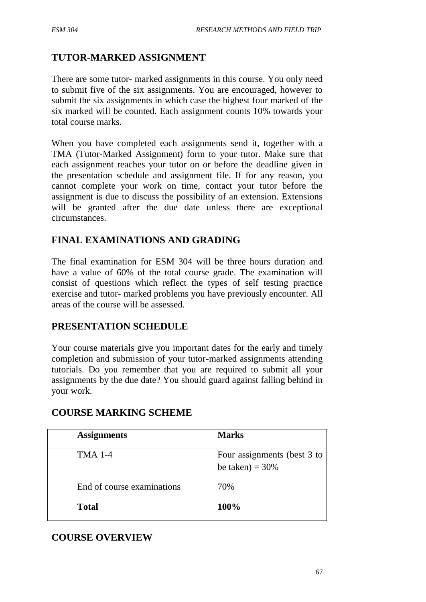## **TUTOR-MARKED ASSIGNMENT**

There are some tutor- marked assignments in this course. You only need to submit five of the six assignments. You are encouraged, however to submit the six assignments in which case the highest four marked of the six marked will be counted. Each assignment counts 10% towards your total course marks.

When you have completed each assignments send it, together with a TMA (Tutor-Marked Assignment) form to your tutor. Make sure that each assignment reaches your tutor on or before the deadline given in the presentation schedule and assignment file. If for any reason, you cannot complete your work on time, contact your tutor before the assignment is due to discuss the possibility of an extension. Extensions will be granted after the due date unless there are exceptional circumstances.

# **FINAL EXAMINATIONS AND GRADING**

The final examination for ESM 304 will be three hours duration and have a value of 60% of the total course grade. The examination will consist of questions which reflect the types of self testing practice exercise and tutor- marked problems you have previously encounter. All areas of the course will be assessed.

## **PRESENTATION SCHEDULE**

Your course materials give you important dates for the early and timely completion and submission of your tutor-marked assignments attending tutorials. Do you remember that you are required to submit all your assignments by the due date? You should guard against falling behind in your work.

## **COURSE MARKING SCHEME**

| <b>Assignments</b>         | <b>Marks</b>                                      |
|----------------------------|---------------------------------------------------|
| <b>TMA 1-4</b>             | Four assignments (best 3 to<br>be taken) = $30\%$ |
| End of course examinations | 70%                                               |
| <b>Total</b>               | 100%                                              |

## **COURSE OVERVIEW**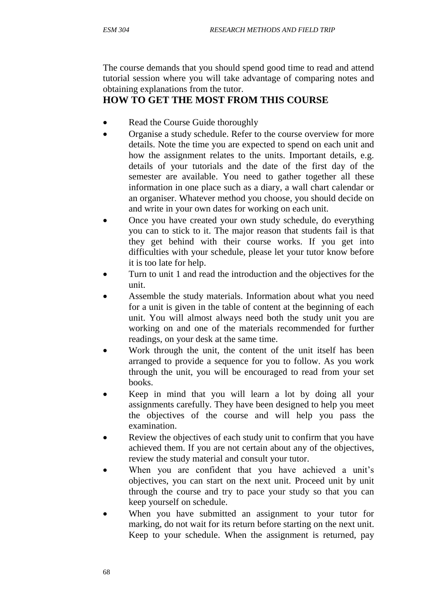The course demands that you should spend good time to read and attend tutorial session where you will take advantage of comparing notes and obtaining explanations from the tutor.

## **HOW TO GET THE MOST FROM THIS COURSE**

- Read the Course Guide thoroughly
- Organise a study schedule. Refer to the course overview for more details. Note the time you are expected to spend on each unit and how the assignment relates to the units. Important details, e.g. details of your tutorials and the date of the first day of the semester are available. You need to gather together all these information in one place such as a diary, a wall chart calendar or an organiser. Whatever method you choose, you should decide on and write in your own dates for working on each unit.
- Once you have created your own study schedule, do everything you can to stick to it. The major reason that students fail is that they get behind with their course works. If you get into difficulties with your schedule, please let your tutor know before it is too late for help.
- Turn to unit 1 and read the introduction and the objectives for the unit.
- Assemble the study materials. Information about what you need for a unit is given in the table of content at the beginning of each unit. You will almost always need both the study unit you are working on and one of the materials recommended for further readings, on your desk at the same time.
- Work through the unit, the content of the unit itself has been arranged to provide a sequence for you to follow. As you work through the unit, you will be encouraged to read from your set books.
- Keep in mind that you will learn a lot by doing all your assignments carefully. They have been designed to help you meet the objectives of the course and will help you pass the examination.
- Review the objectives of each study unit to confirm that you have achieved them. If you are not certain about any of the objectives, review the study material and consult your tutor.
- When you are confident that you have achieved a unit's objectives, you can start on the next unit. Proceed unit by unit through the course and try to pace your study so that you can keep yourself on schedule.
- When you have submitted an assignment to your tutor for marking, do not wait for its return before starting on the next unit. Keep to your schedule. When the assignment is returned, pay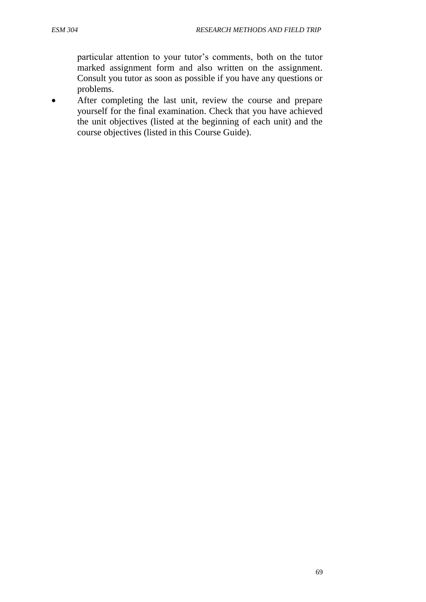particular attention to your tutor's comments, both on the tutor marked assignment form and also written on the assignment. Consult you tutor as soon as possible if you have any questions or problems.

 After completing the last unit, review the course and prepare yourself for the final examination. Check that you have achieved the unit objectives (listed at the beginning of each unit) and the course objectives (listed in this Course Guide).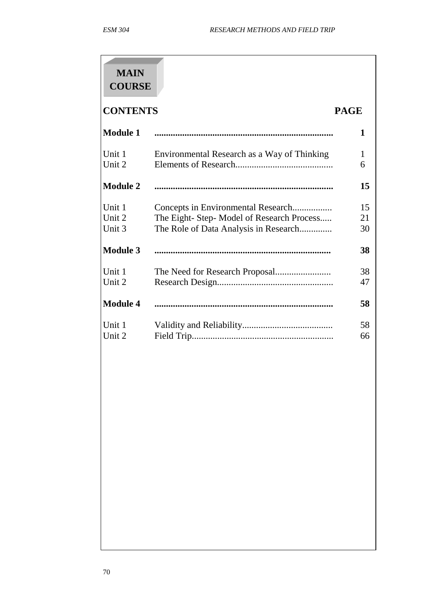# **MAIN COURSE**

# **CONTENTS PAGE**

| <b>Module 1</b> |                                             | 1  |
|-----------------|---------------------------------------------|----|
| Unit 1          | Environmental Research as a Way of Thinking | 1  |
| Unit 2          |                                             | 6  |
| <b>Module 2</b> |                                             | 15 |
| Unit 1          | Concepts in Environmental Research          | 15 |
| Unit 2          | The Eight-Step-Model of Research Process    | 21 |
| Unit 3          | The Role of Data Analysis in Research       | 30 |
| <b>Module 3</b> |                                             | 38 |
| Unit 1          |                                             | 38 |
| Unit 2          |                                             | 47 |
| <b>Module 4</b> |                                             | 58 |
| Unit 1          |                                             | 58 |
| Unit 2          |                                             | 66 |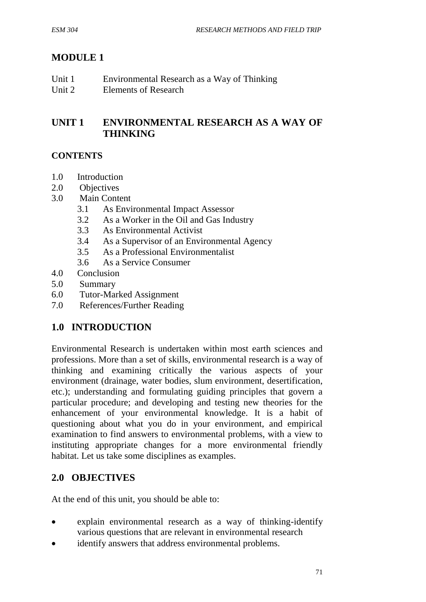# **MODULE 1**

| Unit 1 | Environmental Research as a Way of Thinking |
|--------|---------------------------------------------|
| Unit 2 | <b>Elements of Research</b>                 |

## **UNIT 1 ENVIRONMENTAL RESEARCH AS A WAY OF THINKING**

## **CONTENTS**

- 1.0 Introduction
- 2.0 Objectives
- 3.0 Main Content
	- 3.1 As Environmental Impact Assessor
	- 3.2 As a Worker in the Oil and Gas Industry
	- 3.3 As Environmental Activist
	- 3.4 As a Supervisor of an Environmental Agency
	- 3.5 As a Professional Environmentalist
	- 3.6 As a Service Consumer
- 4.0 Conclusion
- 5.0 Summary
- 6.0 Tutor-Marked Assignment
- 7.0 References/Further Reading

## **1.0 INTRODUCTION**

Environmental Research is undertaken within most earth sciences and professions. More than a set of skills, environmental research is a way of thinking and examining critically the various aspects of your environment (drainage, water bodies, slum environment, desertification, etc.); understanding and formulating guiding principles that govern a particular procedure; and developing and testing new theories for the enhancement of your environmental knowledge. It is a habit of questioning about what you do in your environment, and empirical examination to find answers to environmental problems, with a view to instituting appropriate changes for a more environmental friendly habitat. Let us take some disciplines as examples.

## **2.0 OBJECTIVES**

At the end of this unit, you should be able to:

- explain environmental research as a way of thinking-identify various questions that are relevant in environmental research
- identify answers that address environmental problems.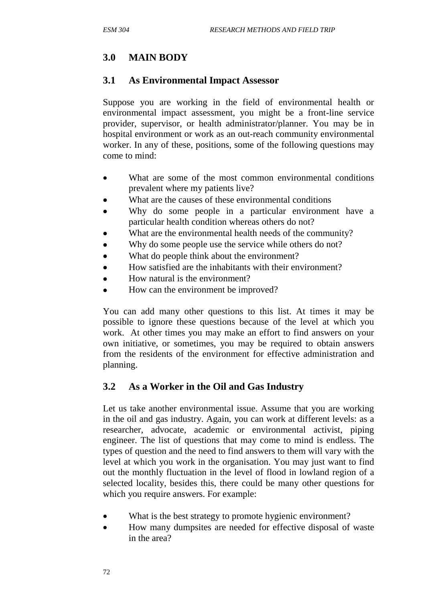# **3.0 MAIN BODY**

#### **3.1 As Environmental Impact Assessor**

Suppose you are working in the field of environmental health or environmental impact assessment, you might be a front-line service provider, supervisor, or health administrator/planner. You may be in hospital environment or work as an out-reach community environmental worker. In any of these, positions, some of the following questions may come to mind:

- What are some of the most common environmental conditions prevalent where my patients live?
- What are the causes of these environmental conditions
- Why do some people in a particular environment have a particular health condition whereas others do not?
- What are the environmental health needs of the community?
- Why do some people use the service while others do not?
- What do people think about the environment?
- How satisfied are the inhabitants with their environment?
- How natural is the environment?
- How can the environment be improved?

You can add many other questions to this list. At times it may be possible to ignore these questions because of the level at which you work. At other times you may make an effort to find answers on your own initiative, or sometimes, you may be required to obtain answers from the residents of the environment for effective administration and planning.

## **3.2 As a Worker in the Oil and Gas Industry**

Let us take another environmental issue. Assume that you are working in the oil and gas industry. Again, you can work at different levels: as a researcher, advocate, academic or environmental activist, piping engineer. The list of questions that may come to mind is endless. The types of question and the need to find answers to them will vary with the level at which you work in the organisation. You may just want to find out the monthly fluctuation in the level of flood in lowland region of a selected locality, besides this, there could be many other questions for which you require answers. For example:

- What is the best strategy to promote hygienic environment?
- How many dumpsites are needed for effective disposal of waste in the area?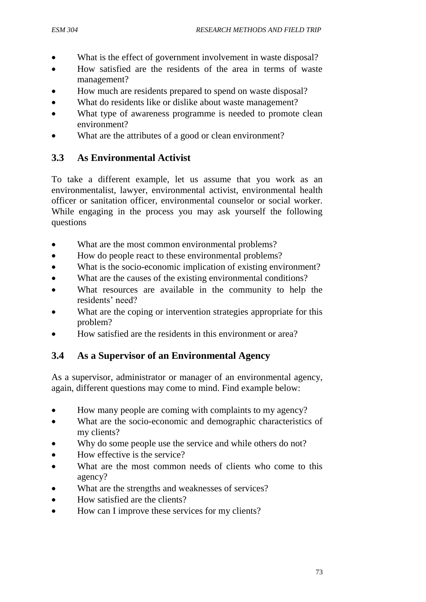- What is the effect of government involvement in waste disposal?
- How satisfied are the residents of the area in terms of waste management?
- How much are residents prepared to spend on waste disposal?
- What do residents like or dislike about waste management?
- What type of awareness programme is needed to promote clean environment?
- What are the attributes of a good or clean environment?

## **3.3 As Environmental Activist**

To take a different example, let us assume that you work as an environmentalist, lawyer, environmental activist, environmental health officer or sanitation officer, environmental counselor or social worker. While engaging in the process you may ask yourself the following questions

- What are the most common environmental problems?
- How do people react to these environmental problems?
- What is the socio-economic implication of existing environment?
- What are the causes of the existing environmental conditions?
- What resources are available in the community to help the residents' need?
- What are the coping or intervention strategies appropriate for this problem?
- How satisfied are the residents in this environment or area?

## **3.4 As a Supervisor of an Environmental Agency**

As a supervisor, administrator or manager of an environmental agency, again, different questions may come to mind. Find example below:

- How many people are coming with complaints to my agency?
- What are the socio-economic and demographic characteristics of my clients?
- Why do some people use the service and while others do not?
- How effective is the service?
- What are the most common needs of clients who come to this agency?
- What are the strengths and weaknesses of services?
- How satisfied are the clients?
- How can I improve these services for my clients?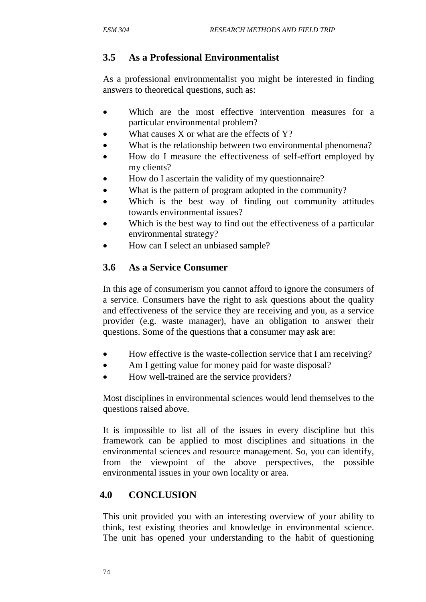## **3.5 As a Professional Environmentalist**

As a professional environmentalist you might be interested in finding answers to theoretical questions, such as:

- Which are the most effective intervention measures for a particular environmental problem?
- What causes X or what are the effects of Y?
- What is the relationship between two environmental phenomena?
- How do I measure the effectiveness of self-effort employed by my clients?
- How do I ascertain the validity of my questionnaire?
- What is the pattern of program adopted in the community?
- Which is the best way of finding out community attitudes towards environmental issues?
- Which is the best way to find out the effectiveness of a particular environmental strategy?
- How can I select an unbiased sample?

## **3.6 As a Service Consumer**

In this age of consumerism you cannot afford to ignore the consumers of a service. Consumers have the right to ask questions about the quality and effectiveness of the service they are receiving and you, as a service provider (e.g. waste manager), have an obligation to answer their questions. Some of the questions that a consumer may ask are:

- How effective is the waste-collection service that I am receiving?
- Am I getting value for money paid for waste disposal?
- How well-trained are the service providers?

Most disciplines in environmental sciences would lend themselves to the questions raised above.

It is impossible to list all of the issues in every discipline but this framework can be applied to most disciplines and situations in the environmental sciences and resource management. So, you can identify, from the viewpoint of the above perspectives, the possible environmental issues in your own locality or area.

## **4.0 CONCLUSION**

This unit provided you with an interesting overview of your ability to think, test existing theories and knowledge in environmental science. The unit has opened your understanding to the habit of questioning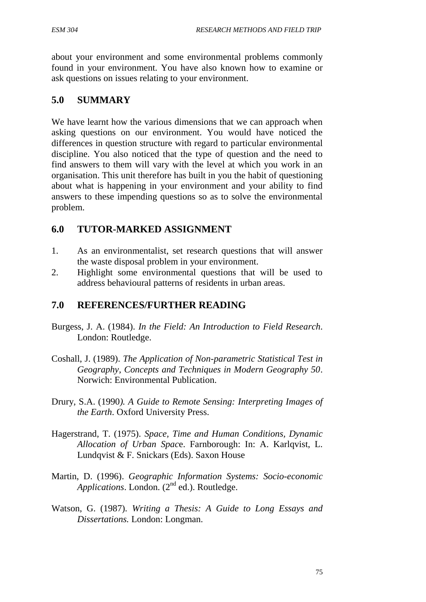about your environment and some environmental problems commonly found in your environment. You have also known how to examine or ask questions on issues relating to your environment.

## **5.0 SUMMARY**

We have learnt how the various dimensions that we can approach when asking questions on our environment. You would have noticed the differences in question structure with regard to particular environmental discipline. You also noticed that the type of question and the need to find answers to them will vary with the level at which you work in an organisation. This unit therefore has built in you the habit of questioning about what is happening in your environment and your ability to find answers to these impending questions so as to solve the environmental problem.

## **6.0 TUTOR-MARKED ASSIGNMENT**

- 1. As an environmentalist, set research questions that will answer the waste disposal problem in your environment.
- 2. Highlight some environmental questions that will be used to address behavioural patterns of residents in urban areas.

## **7.0 REFERENCES/FURTHER READING**

- Burgess, J. A. (1984). *In the Field: An Introduction to Field Research*. London: Routledge.
- Coshall, J. (1989). *The Application of Non-parametric Statistical Test in Geography, Concepts and Techniques in Modern Geography 50*. Norwich: Environmental Publication.
- Drury, S.A. (1990*). A Guide to Remote Sensing: Interpreting Images of the Earth*. Oxford University Press.
- Hagerstrand, T. (1975). *Space, Time and Human Conditions, Dynamic Allocation of Urban Spac*e. Farnborough: In: A. Karlqvist, L. Lundqvist & F. Snickars (Eds). Saxon House
- Martin, D. (1996). *Geographic Information Systems: Socio-economic Applications*. London. (2nd ed.). Routledge.
- Watson, G. (1987). *Writing a Thesis: A Guide to Long Essays and Dissertations.* London: Longman.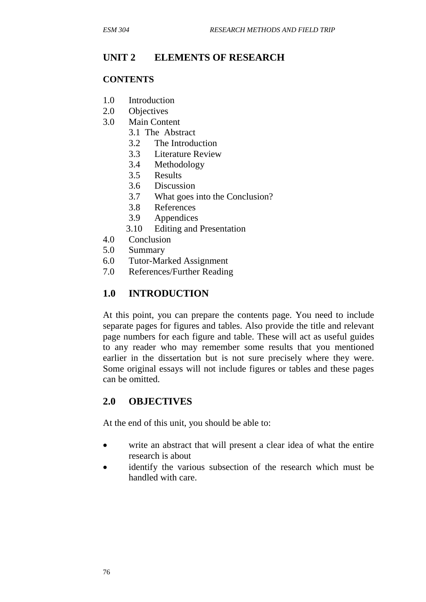## **UNIT 2 ELEMENTS OF RESEARCH**

#### **CONTENTS**

- 1.0 Introduction
- 2.0 Objectives
- 3.0 Main Content
	- 3.1 The Abstract
		- 3.2 The Introduction
		- 3.3 Literature Review
		- 3.4 Methodology
		- 3.5 Results
		- 3.6 Discussion
		- 3.7 What goes into the Conclusion?
		- 3.8 References
		- 3.9 Appendices
	- 3.10 Editing and Presentation
- 4.0 Conclusion
- 5.0 Summary
- 6.0 Tutor-Marked Assignment
- 7.0 References/Further Reading

#### **1.0 INTRODUCTION**

At this point, you can prepare the contents page. You need to include separate pages for figures and tables. Also provide the title and relevant page numbers for each figure and table. These will act as useful guides to any reader who may remember some results that you mentioned earlier in the dissertation but is not sure precisely where they were. Some original essays will not include figures or tables and these pages can be omitted.

## **2.0 OBJECTIVES**

At the end of this unit, you should be able to:

- write an abstract that will present a clear idea of what the entire research is about
- identify the various subsection of the research which must be handled with care.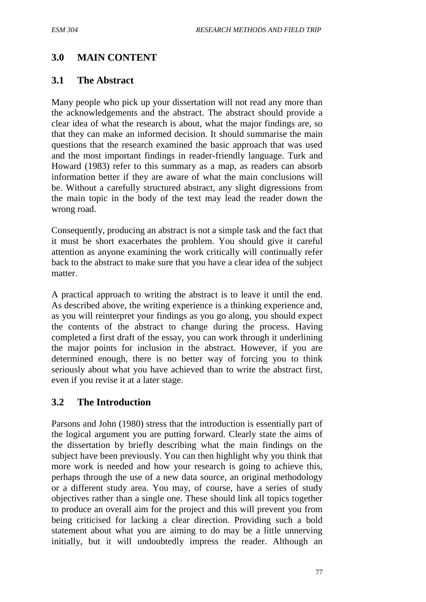#### **3.0 MAIN CONTENT**

#### **3.1 The Abstract**

Many people who pick up your dissertation will not read any more than the acknowledgements and the abstract. The abstract should provide a clear idea of what the research is about, what the major findings are, so that they can make an informed decision. It should summarise the main questions that the research examined the basic approach that was used and the most important findings in reader-friendly language. Turk and Howard (1983) refer to this summary as a map, as readers can absorb information better if they are aware of what the main conclusions will be. Without a carefully structured abstract, any slight digressions from the main topic in the body of the text may lead the reader down the wrong road.

Consequently, producing an abstract is not a simple task and the fact that it must be short exacerbates the problem. You should give it careful attention as anyone examining the work critically will continually refer back to the abstract to make sure that you have a clear idea of the subject matter.

A practical approach to writing the abstract is to leave it until the end. As described above, the writing experience is a thinking experience and, as you will reinterpret your findings as you go along, you should expect the contents of the abstract to change during the process. Having completed a first draft of the essay, you can work through it underlining the major points for inclusion in the abstract. However, if you are determined enough, there is no better way of forcing you to think seriously about what you have achieved than to write the abstract first, even if you revise it at a later stage.

#### **3.2 The Introduction**

Parsons and John (1980) stress that the introduction is essentially part of the logical argument you are putting forward. Clearly state the aims of the dissertation by briefly describing what the main findings on the subject have been previously. You can then highlight why you think that more work is needed and how your research is going to achieve this, perhaps through the use of a new data source, an original methodology or a different study area. You may, of course, have a series of study objectives rather than a single one. These should link all topics together to produce an overall aim for the project and this will prevent you from being criticised for lacking a clear direction. Providing such a bold statement about what you are aiming to do may be a little unnerving initially, but it will undoubtedly impress the reader. Although an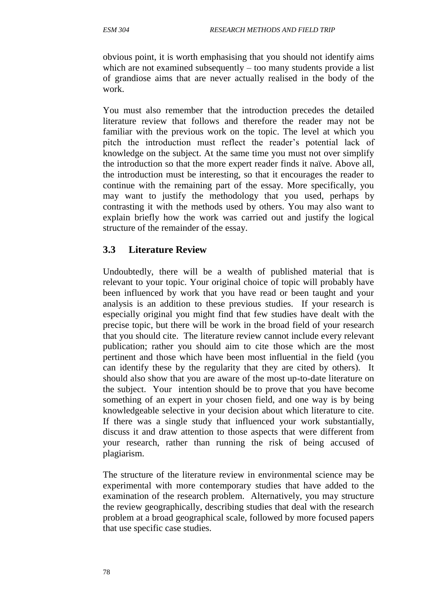obvious point, it is worth emphasising that you should not identify aims which are not examined subsequently – too many students provide a list of grandiose aims that are never actually realised in the body of the work.

You must also remember that the introduction precedes the detailed literature review that follows and therefore the reader may not be familiar with the previous work on the topic. The level at which you pitch the introduction must reflect the reader's potential lack of knowledge on the subject. At the same time you must not over simplify the introduction so that the more expert reader finds it naïve. Above all, the introduction must be interesting, so that it encourages the reader to continue with the remaining part of the essay. More specifically, you may want to justify the methodology that you used, perhaps by contrasting it with the methods used by others. You may also want to explain briefly how the work was carried out and justify the logical structure of the remainder of the essay.

#### **3.3 Literature Review**

Undoubtedly, there will be a wealth of published material that is relevant to your topic. Your original choice of topic will probably have been influenced by work that you have read or been taught and your analysis is an addition to these previous studies. If your research is especially original you might find that few studies have dealt with the precise topic, but there will be work in the broad field of your research that you should cite. The literature review cannot include every relevant publication; rather you should aim to cite those which are the most pertinent and those which have been most influential in the field (you can identify these by the regularity that they are cited by others). It should also show that you are aware of the most up-to-date literature on the subject. Your intention should be to prove that you have become something of an expert in your chosen field, and one way is by being knowledgeable selective in your decision about which literature to cite. If there was a single study that influenced your work substantially, discuss it and draw attention to those aspects that were different from your research, rather than running the risk of being accused of plagiarism.

The structure of the literature review in environmental science may be experimental with more contemporary studies that have added to the examination of the research problem. Alternatively, you may structure the review geographically, describing studies that deal with the research problem at a broad geographical scale, followed by more focused papers that use specific case studies.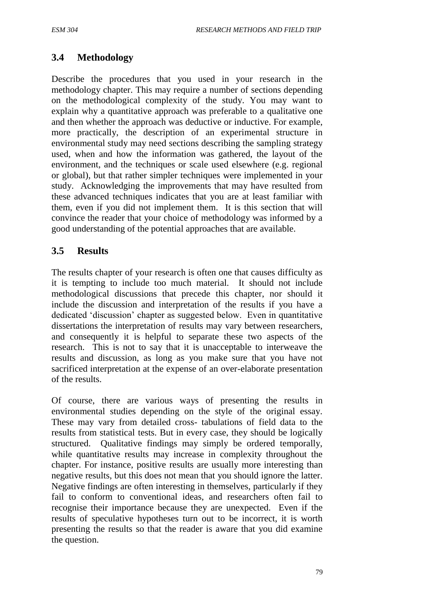## **3.4 Methodology**

Describe the procedures that you used in your research in the methodology chapter. This may require a number of sections depending on the methodological complexity of the study. You may want to explain why a quantitative approach was preferable to a qualitative one and then whether the approach was deductive or inductive. For example, more practically, the description of an experimental structure in environmental study may need sections describing the sampling strategy used, when and how the information was gathered, the layout of the environment, and the techniques or scale used elsewhere (e.g. regional or global), but that rather simpler techniques were implemented in your study. Acknowledging the improvements that may have resulted from these advanced techniques indicates that you are at least familiar with them, even if you did not implement them. It is this section that will convince the reader that your choice of methodology was informed by a good understanding of the potential approaches that are available.

## **3.5 Results**

The results chapter of your research is often one that causes difficulty as it is tempting to include too much material. It should not include methodological discussions that precede this chapter, nor should it include the discussion and interpretation of the results if you have a dedicated 'discussion' chapter as suggested below. Even in quantitative dissertations the interpretation of results may vary between researchers, and consequently it is helpful to separate these two aspects of the research. This is not to say that it is unacceptable to interweave the results and discussion, as long as you make sure that you have not sacrificed interpretation at the expense of an over-elaborate presentation of the results.

Of course, there are various ways of presenting the results in environmental studies depending on the style of the original essay. These may vary from detailed cross- tabulations of field data to the results from statistical tests. But in every case, they should be logically structured. Qualitative findings may simply be ordered temporally, while quantitative results may increase in complexity throughout the chapter. For instance, positive results are usually more interesting than negative results, but this does not mean that you should ignore the latter. Negative findings are often interesting in themselves, particularly if they fail to conform to conventional ideas, and researchers often fail to recognise their importance because they are unexpected. Even if the results of speculative hypotheses turn out to be incorrect, it is worth presenting the results so that the reader is aware that you did examine the question.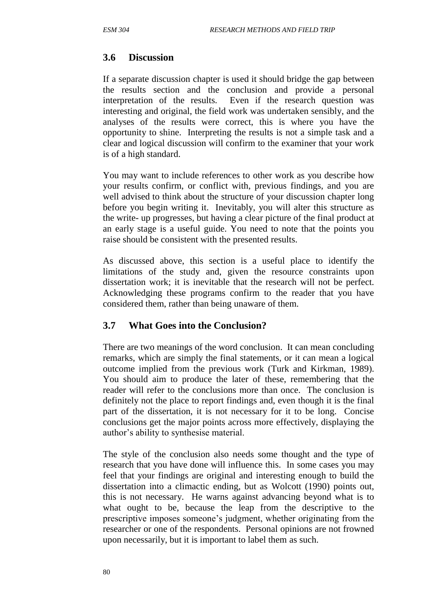#### **3.6 Discussion**

If a separate discussion chapter is used it should bridge the gap between the results section and the conclusion and provide a personal interpretation of the results. Even if the research question was interesting and original, the field work was undertaken sensibly, and the analyses of the results were correct, this is where you have the opportunity to shine. Interpreting the results is not a simple task and a clear and logical discussion will confirm to the examiner that your work is of a high standard.

You may want to include references to other work as you describe how your results confirm, or conflict with, previous findings, and you are well advised to think about the structure of your discussion chapter long before you begin writing it. Inevitably, you will alter this structure as the write- up progresses, but having a clear picture of the final product at an early stage is a useful guide. You need to note that the points you raise should be consistent with the presented results.

As discussed above, this section is a useful place to identify the limitations of the study and, given the resource constraints upon dissertation work; it is inevitable that the research will not be perfect. Acknowledging these programs confirm to the reader that you have considered them, rather than being unaware of them.

#### **3.7 What Goes into the Conclusion?**

There are two meanings of the word conclusion. It can mean concluding remarks, which are simply the final statements, or it can mean a logical outcome implied from the previous work (Turk and Kirkman, 1989). You should aim to produce the later of these, remembering that the reader will refer to the conclusions more than once. The conclusion is definitely not the place to report findings and, even though it is the final part of the dissertation, it is not necessary for it to be long. Concise conclusions get the major points across more effectively, displaying the author's ability to synthesise material.

The style of the conclusion also needs some thought and the type of research that you have done will influence this. In some cases you may feel that your findings are original and interesting enough to build the dissertation into a climactic ending, but as Wolcott (1990) points out, this is not necessary. He warns against advancing beyond what is to what ought to be, because the leap from the descriptive to the prescriptive imposes someone's judgment, whether originating from the researcher or one of the respondents. Personal opinions are not frowned upon necessarily, but it is important to label them as such.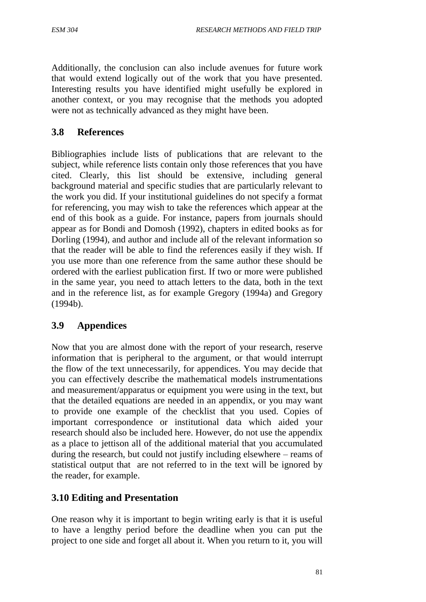Additionally, the conclusion can also include avenues for future work that would extend logically out of the work that you have presented. Interesting results you have identified might usefully be explored in another context, or you may recognise that the methods you adopted were not as technically advanced as they might have been.

#### **3.8 References**

Bibliographies include lists of publications that are relevant to the subject, while reference lists contain only those references that you have cited. Clearly, this list should be extensive, including general background material and specific studies that are particularly relevant to the work you did. If your institutional guidelines do not specify a format for referencing, you may wish to take the references which appear at the end of this book as a guide. For instance, papers from journals should appear as for Bondi and Domosh (1992), chapters in edited books as for Dorling (1994), and author and include all of the relevant information so that the reader will be able to find the references easily if they wish. If you use more than one reference from the same author these should be ordered with the earliest publication first. If two or more were published in the same year, you need to attach letters to the data, both in the text and in the reference list, as for example Gregory (1994a) and Gregory (1994b).

## **3.9 Appendices**

Now that you are almost done with the report of your research, reserve information that is peripheral to the argument, or that would interrupt the flow of the text unnecessarily, for appendices. You may decide that you can effectively describe the mathematical models instrumentations and measurement/apparatus or equipment you were using in the text, but that the detailed equations are needed in an appendix, or you may want to provide one example of the checklist that you used. Copies of important correspondence or institutional data which aided your research should also be included here. However, do not use the appendix as a place to jettison all of the additional material that you accumulated during the research, but could not justify including elsewhere – reams of statistical output that are not referred to in the text will be ignored by the reader, for example.

#### **3.10 Editing and Presentation**

One reason why it is important to begin writing early is that it is useful to have a lengthy period before the deadline when you can put the project to one side and forget all about it. When you return to it, you will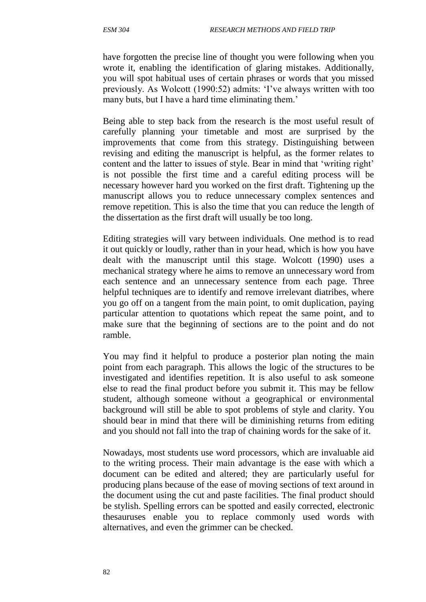have forgotten the precise line of thought you were following when you wrote it, enabling the identification of glaring mistakes. Additionally, you will spot habitual uses of certain phrases or words that you missed previously. As Wolcott (1990:52) admits: 'I've always written with too many buts, but I have a hard time eliminating them.'

Being able to step back from the research is the most useful result of carefully planning your timetable and most are surprised by the improvements that come from this strategy. Distinguishing between revising and editing the manuscript is helpful, as the former relates to content and the latter to issues of style. Bear in mind that 'writing right' is not possible the first time and a careful editing process will be necessary however hard you worked on the first draft. Tightening up the manuscript allows you to reduce unnecessary complex sentences and remove repetition. This is also the time that you can reduce the length of the dissertation as the first draft will usually be too long.

Editing strategies will vary between individuals. One method is to read it out quickly or loudly, rather than in your head, which is how you have dealt with the manuscript until this stage. Wolcott (1990) uses a mechanical strategy where he aims to remove an unnecessary word from each sentence and an unnecessary sentence from each page. Three helpful techniques are to identify and remove irrelevant diatribes, where you go off on a tangent from the main point, to omit duplication, paying particular attention to quotations which repeat the same point, and to make sure that the beginning of sections are to the point and do not ramble.

You may find it helpful to produce a posterior plan noting the main point from each paragraph. This allows the logic of the structures to be investigated and identifies repetition. It is also useful to ask someone else to read the final product before you submit it. This may be fellow student, although someone without a geographical or environmental background will still be able to spot problems of style and clarity. You should bear in mind that there will be diminishing returns from editing and you should not fall into the trap of chaining words for the sake of it.

Nowadays, most students use word processors, which are invaluable aid to the writing process. Their main advantage is the ease with which a document can be edited and altered; they are particularly useful for producing plans because of the ease of moving sections of text around in the document using the cut and paste facilities. The final product should be stylish. Spelling errors can be spotted and easily corrected, electronic thesauruses enable you to replace commonly used words with alternatives, and even the grimmer can be checked.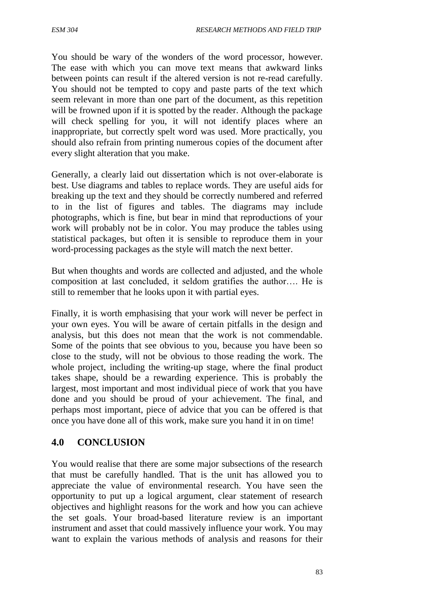You should be wary of the wonders of the word processor, however. The ease with which you can move text means that awkward links between points can result if the altered version is not re-read carefully. You should not be tempted to copy and paste parts of the text which seem relevant in more than one part of the document, as this repetition will be frowned upon if it is spotted by the reader. Although the package will check spelling for you, it will not identify places where an inappropriate, but correctly spelt word was used. More practically, you should also refrain from printing numerous copies of the document after every slight alteration that you make.

Generally, a clearly laid out dissertation which is not over-elaborate is best. Use diagrams and tables to replace words. They are useful aids for breaking up the text and they should be correctly numbered and referred to in the list of figures and tables. The diagrams may include photographs, which is fine, but bear in mind that reproductions of your work will probably not be in color. You may produce the tables using statistical packages, but often it is sensible to reproduce them in your word-processing packages as the style will match the next better.

But when thoughts and words are collected and adjusted, and the whole composition at last concluded, it seldom gratifies the author…. He is still to remember that he looks upon it with partial eyes.

Finally, it is worth emphasising that your work will never be perfect in your own eyes. You will be aware of certain pitfalls in the design and analysis, but this does not mean that the work is not commendable. Some of the points that see obvious to you, because you have been so close to the study, will not be obvious to those reading the work. The whole project, including the writing-up stage, where the final product takes shape, should be a rewarding experience. This is probably the largest, most important and most individual piece of work that you have done and you should be proud of your achievement. The final, and perhaps most important, piece of advice that you can be offered is that once you have done all of this work, make sure you hand it in on time!

## **4.0 CONCLUSION**

You would realise that there are some major subsections of the research that must be carefully handled. That is the unit has allowed you to appreciate the value of environmental research. You have seen the opportunity to put up a logical argument, clear statement of research objectives and highlight reasons for the work and how you can achieve the set goals. Your broad-based literature review is an important instrument and asset that could massively influence your work. You may want to explain the various methods of analysis and reasons for their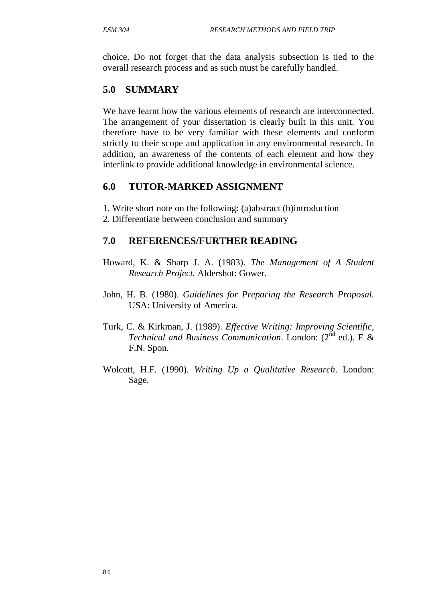choice. Do not forget that the data analysis subsection is tied to the overall research process and as such must be carefully handled.

#### **5.0 SUMMARY**

We have learnt how the various elements of research are interconnected. The arrangement of your dissertation is clearly built in this unit. You therefore have to be very familiar with these elements and conform strictly to their scope and application in any environmental research. In addition, an awareness of the contents of each element and how they interlink to provide additional knowledge in environmental science.

#### **6.0 TUTOR-MARKED ASSIGNMENT**

- 1. Write short note on the following: (a)abstract (b)introduction
- 2. Differentiate between conclusion and summary

#### **7.0 REFERENCES/FURTHER READING**

- Howard, K. & Sharp J. A. (1983). *The Management of A Student Research Project.* Aldershot: Gower.
- John, H. B. (1980). *Guidelines for Preparing the Research Proposal.* USA: University of America.
- Turk, C. & Kirkman, J. (1989). *Effective Writing: Improving Scientific, Technical and Business Communication*. London: (2nd ed.). E & F.N. Spon.
- Wolcott, H.F. (1990). *Writing Up a Qualitative Research*. London: Sage.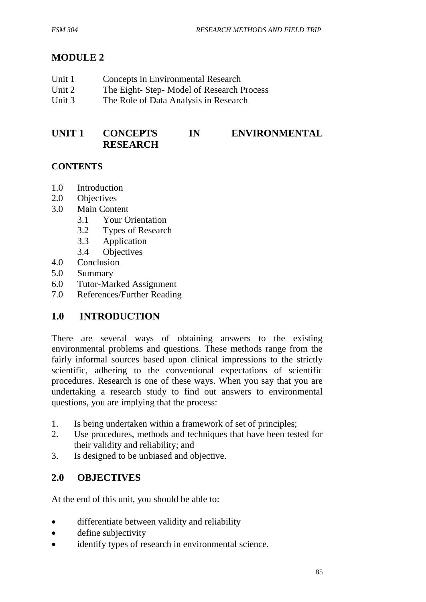# **MODULE 2**

| Unit 1   | Concepts in Environmental Research       |
|----------|------------------------------------------|
| Unit 2   | The Eight-Step-Model of Research Process |
| Unit $3$ | The Role of Data Analysis in Research    |

#### **UNIT 1 CONCEPTS IN ENVIRONMENTAL RESEARCH**

#### **CONTENTS**

- 1.0 Introduction
- 2.0 Objectives
- 3.0 Main Content
	- 3.1 Your Orientation
	- 3.2 Types of Research
	- 3.3 Application
	- 3.4 Objectives
- 4.0 Conclusion
- 5.0 Summary
- 6.0 Tutor-Marked Assignment
- 7.0 References/Further Reading

## **1.0 INTRODUCTION**

There are several ways of obtaining answers to the existing environmental problems and questions. These methods range from the fairly informal sources based upon clinical impressions to the strictly scientific, adhering to the conventional expectations of scientific procedures. Research is one of these ways. When you say that you are undertaking a research study to find out answers to environmental questions, you are implying that the process:

- 1. Is being undertaken within a framework of set of principles;
- 2. Use procedures, methods and techniques that have been tested for their validity and reliability; and
- 3. Is designed to be unbiased and objective.

## **2.0 OBJECTIVES**

At the end of this unit, you should be able to:

- differentiate between validity and reliability
- define subjectivity
- identify types of research in environmental science.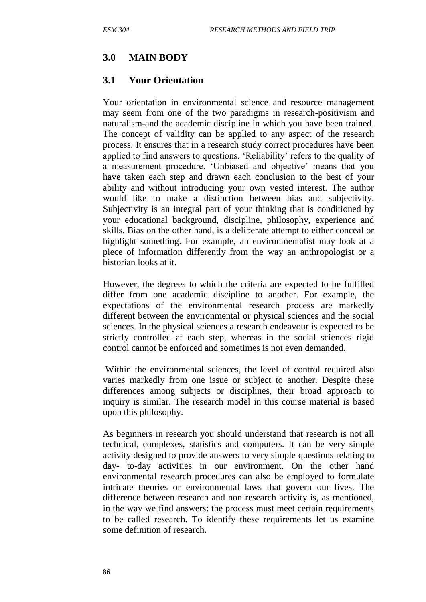#### **3.0 MAIN BODY**

#### **3.1 Your Orientation**

Your orientation in environmental science and resource management may seem from one of the two paradigms in research-positivism and naturalism-and the academic discipline in which you have been trained. The concept of validity can be applied to any aspect of the research process. It ensures that in a research study correct procedures have been applied to find answers to questions. 'Reliability' refers to the quality of a measurement procedure. 'Unbiased and objective' means that you have taken each step and drawn each conclusion to the best of your ability and without introducing your own vested interest. The author would like to make a distinction between bias and subjectivity. Subjectivity is an integral part of your thinking that is conditioned by your educational background, discipline, philosophy, experience and skills. Bias on the other hand, is a deliberate attempt to either conceal or highlight something. For example, an environmentalist may look at a piece of information differently from the way an anthropologist or a historian looks at it.

However, the degrees to which the criteria are expected to be fulfilled differ from one academic discipline to another. For example, the expectations of the environmental research process are markedly different between the environmental or physical sciences and the social sciences. In the physical sciences a research endeavour is expected to be strictly controlled at each step, whereas in the social sciences rigid control cannot be enforced and sometimes is not even demanded.

Within the environmental sciences, the level of control required also varies markedly from one issue or subject to another. Despite these differences among subjects or disciplines, their broad approach to inquiry is similar. The research model in this course material is based upon this philosophy.

As beginners in research you should understand that research is not all technical, complexes, statistics and computers. It can be very simple activity designed to provide answers to very simple questions relating to day- to-day activities in our environment. On the other hand environmental research procedures can also be employed to formulate intricate theories or environmental laws that govern our lives. The difference between research and non research activity is, as mentioned, in the way we find answers: the process must meet certain requirements to be called research. To identify these requirements let us examine some definition of research.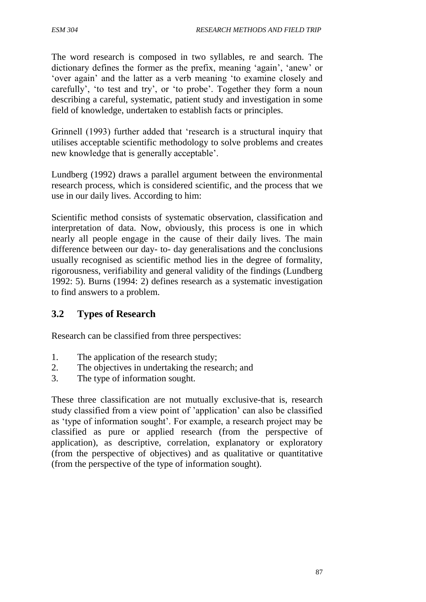The word research is composed in two syllables, re and search. The dictionary defines the former as the prefix, meaning 'again', 'anew' or 'over again' and the latter as a verb meaning 'to examine closely and carefully', 'to test and try', or 'to probe'. Together they form a noun describing a careful, systematic, patient study and investigation in some field of knowledge, undertaken to establish facts or principles.

Grinnell (1993) further added that 'research is a structural inquiry that utilises acceptable scientific methodology to solve problems and creates new knowledge that is generally acceptable'.

Lundberg (1992) draws a parallel argument between the environmental research process, which is considered scientific, and the process that we use in our daily lives. According to him:

Scientific method consists of systematic observation, classification and interpretation of data. Now, obviously, this process is one in which nearly all people engage in the cause of their daily lives. The main difference between our day- to- day generalisations and the conclusions usually recognised as scientific method lies in the degree of formality, rigorousness, verifiability and general validity of the findings (Lundberg 1992: 5). Burns (1994: 2) defines research as a systematic investigation to find answers to a problem.

#### **3.2 Types of Research**

Research can be classified from three perspectives:

- 1. The application of the research study;
- 2. The objectives in undertaking the research; and
- 3. The type of information sought.

These three classification are not mutually exclusive-that is, research study classified from a view point of 'application' can also be classified as 'type of information sought'. For example, a research project may be classified as pure or applied research (from the perspective of application), as descriptive, correlation, explanatory or exploratory (from the perspective of objectives) and as qualitative or quantitative (from the perspective of the type of information sought).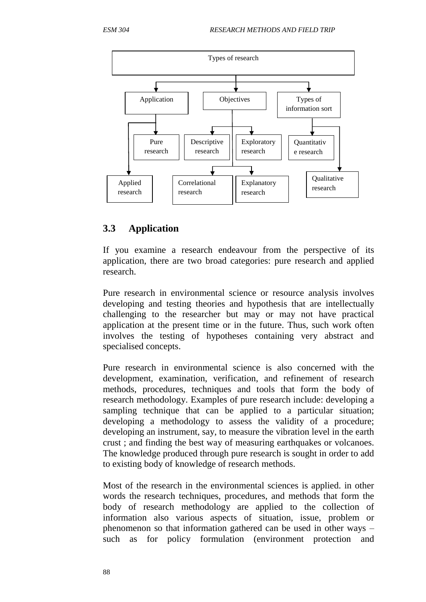

#### **3.3 Application**

If you examine a research endeavour from the perspective of its application, there are two broad categories: pure research and applied research.

Pure research in environmental science or resource analysis involves developing and testing theories and hypothesis that are intellectually challenging to the researcher but may or may not have practical application at the present time or in the future. Thus, such work often involves the testing of hypotheses containing very abstract and specialised concepts.

Pure research in environmental science is also concerned with the development, examination, verification, and refinement of research methods, procedures, techniques and tools that form the body of research methodology. Examples of pure research include: developing a sampling technique that can be applied to a particular situation; developing a methodology to assess the validity of a procedure; developing an instrument, say, to measure the vibration level in the earth crust ; and finding the best way of measuring earthquakes or volcanoes. The knowledge produced through pure research is sought in order to add to existing body of knowledge of research methods.

Most of the research in the environmental sciences is applied. in other words the research techniques, procedures, and methods that form the body of research methodology are applied to the collection of information also various aspects of situation, issue, problem or phenomenon so that information gathered can be used in other ways – such as for policy formulation (environment protection and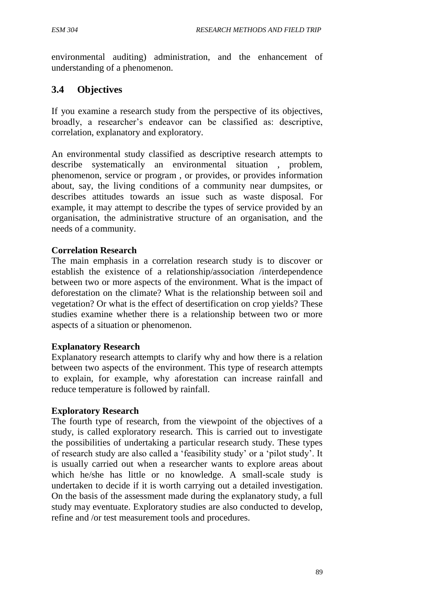environmental auditing) administration, and the enhancement of understanding of a phenomenon.

## **3.4 Objectives**

If you examine a research study from the perspective of its objectives, broadly, a researcher's endeavor can be classified as: descriptive, correlation, explanatory and exploratory.

An environmental study classified as descriptive research attempts to describe systematically an environmental situation , problem, phenomenon, service or program , or provides, or provides information about, say, the living conditions of a community near dumpsites, or describes attitudes towards an issue such as waste disposal. For example, it may attempt to describe the types of service provided by an organisation, the administrative structure of an organisation, and the needs of a community.

#### **Correlation Research**

The main emphasis in a correlation research study is to discover or establish the existence of a relationship/association /interdependence between two or more aspects of the environment. What is the impact of deforestation on the climate? What is the relationship between soil and vegetation? Or what is the effect of desertification on crop yields? These studies examine whether there is a relationship between two or more aspects of a situation or phenomenon.

#### **Explanatory Research**

Explanatory research attempts to clarify why and how there is a relation between two aspects of the environment. This type of research attempts to explain, for example, why aforestation can increase rainfall and reduce temperature is followed by rainfall.

#### **Exploratory Research**

The fourth type of research, from the viewpoint of the objectives of a study, is called exploratory research. This is carried out to investigate the possibilities of undertaking a particular research study. These types of research study are also called a 'feasibility study' or a 'pilot study'. It is usually carried out when a researcher wants to explore areas about which he/she has little or no knowledge. A small-scale study is undertaken to decide if it is worth carrying out a detailed investigation. On the basis of the assessment made during the explanatory study, a full study may eventuate. Exploratory studies are also conducted to develop, refine and /or test measurement tools and procedures.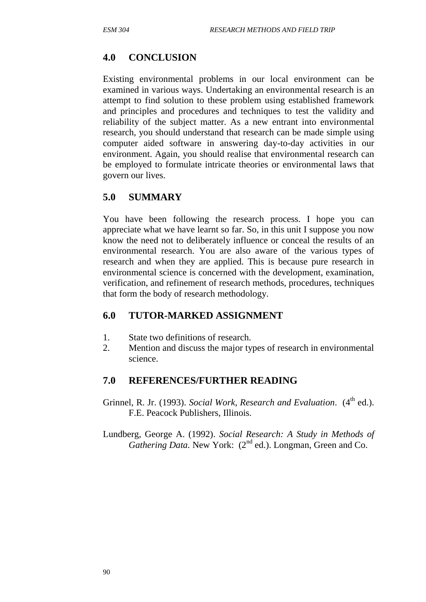## **4.0 CONCLUSION**

Existing environmental problems in our local environment can be examined in various ways. Undertaking an environmental research is an attempt to find solution to these problem using established framework and principles and procedures and techniques to test the validity and reliability of the subject matter. As a new entrant into environmental research, you should understand that research can be made simple using computer aided software in answering day-to-day activities in our environment. Again, you should realise that environmental research can be employed to formulate intricate theories or environmental laws that govern our lives.

## **5.0 SUMMARY**

You have been following the research process. I hope you can appreciate what we have learnt so far. So, in this unit I suppose you now know the need not to deliberately influence or conceal the results of an environmental research. You are also aware of the various types of research and when they are applied. This is because pure research in environmental science is concerned with the development, examination, verification, and refinement of research methods, procedures, techniques that form the body of research methodology.

## **6.0 TUTOR-MARKED ASSIGNMENT**

- 1. State two definitions of research.
- 2. Mention and discuss the major types of research in environmental science.

## **7.0 REFERENCES/FURTHER READING**

- Grinnel, R. Jr. (1993). *Social Work, Research and Evaluation.* (4<sup>th</sup> ed.). F.E. Peacock Publishers, Illinois.
- Lundberg, George A. (1992). *Social Research: A Study in Methods of Gathering Data.* New York: (2<sup>nd</sup> ed.). Longman, Green and Co.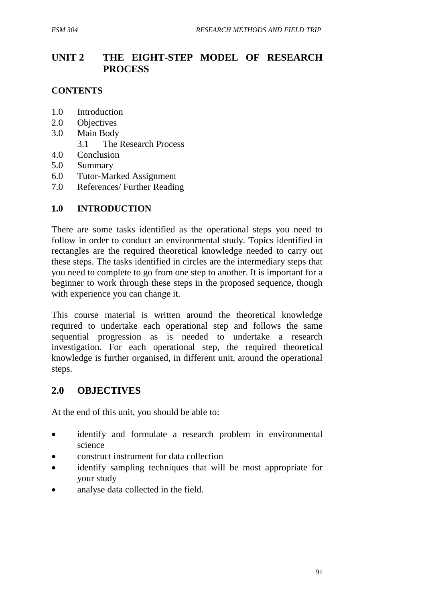## **UNIT 2 THE EIGHT-STEP MODEL OF RESEARCH PROCESS**

#### **CONTENTS**

- 1.0 Introduction
- 2.0 Objectives
- 3.0 Main Body
	- 3.1 The Research Process
- 4.0 Conclusion
- 5.0 Summary
- 6.0 Tutor-Marked Assignment
- 7.0 References/ Further Reading

## **1.0 INTRODUCTION**

There are some tasks identified as the operational steps you need to follow in order to conduct an environmental study. Topics identified in rectangles are the required theoretical knowledge needed to carry out these steps. The tasks identified in circles are the intermediary steps that you need to complete to go from one step to another. It is important for a beginner to work through these steps in the proposed sequence, though with experience you can change it.

This course material is written around the theoretical knowledge required to undertake each operational step and follows the same sequential progression as is needed to undertake a research investigation. For each operational step, the required theoretical knowledge is further organised, in different unit, around the operational steps.

## **2.0 OBJECTIVES**

At the end of this unit, you should be able to:

- identify and formulate a research problem in environmental science
- construct instrument for data collection
- identify sampling techniques that will be most appropriate for your study
- analyse data collected in the field.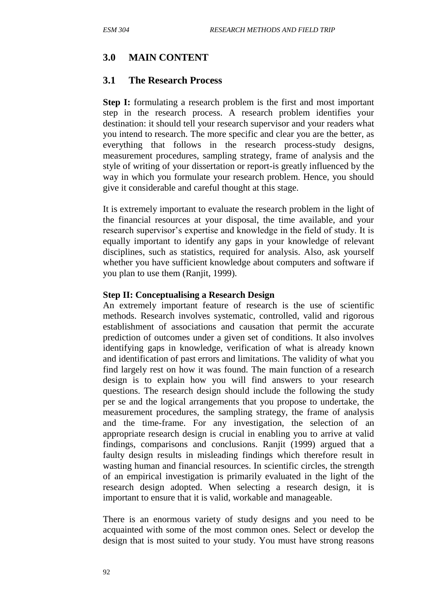## **3.0 MAIN CONTENT**

#### **3.1 The Research Process**

**Step I:** formulating a research problem is the first and most important step in the research process. A research problem identifies your destination: it should tell your research supervisor and your readers what you intend to research. The more specific and clear you are the better, as everything that follows in the research process-study designs, measurement procedures, sampling strategy, frame of analysis and the style of writing of your dissertation or report-is greatly influenced by the way in which you formulate your research problem. Hence, you should give it considerable and careful thought at this stage.

It is extremely important to evaluate the research problem in the light of the financial resources at your disposal, the time available, and your research supervisor's expertise and knowledge in the field of study. It is equally important to identify any gaps in your knowledge of relevant disciplines, such as statistics, required for analysis. Also, ask yourself whether you have sufficient knowledge about computers and software if you plan to use them (Ranjit, 1999).

#### **Step II: Conceptualising a Research Design**

An extremely important feature of research is the use of scientific methods. Research involves systematic, controlled, valid and rigorous establishment of associations and causation that permit the accurate prediction of outcomes under a given set of conditions. It also involves identifying gaps in knowledge, verification of what is already known and identification of past errors and limitations. The validity of what you find largely rest on how it was found. The main function of a research design is to explain how you will find answers to your research questions. The research design should include the following the study per se and the logical arrangements that you propose to undertake, the measurement procedures, the sampling strategy, the frame of analysis and the time-frame. For any investigation, the selection of an appropriate research design is crucial in enabling you to arrive at valid findings, comparisons and conclusions. Ranjit (1999) argued that a faulty design results in misleading findings which therefore result in wasting human and financial resources. In scientific circles, the strength of an empirical investigation is primarily evaluated in the light of the research design adopted. When selecting a research design, it is important to ensure that it is valid, workable and manageable.

There is an enormous variety of study designs and you need to be acquainted with some of the most common ones. Select or develop the design that is most suited to your study. You must have strong reasons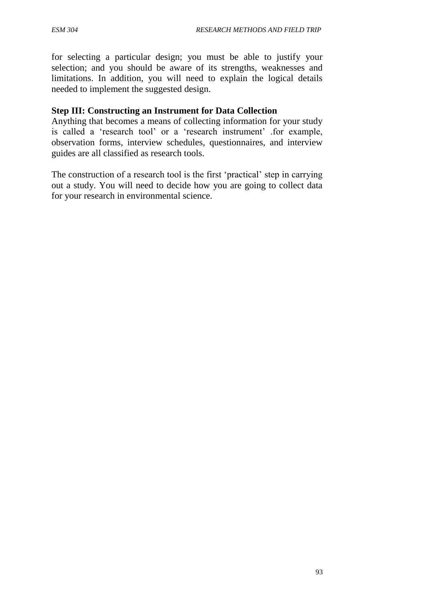for selecting a particular design; you must be able to justify your selection; and you should be aware of its strengths, weaknesses and limitations. In addition, you will need to explain the logical details needed to implement the suggested design.

#### **Step III: Constructing an Instrument for Data Collection**

Anything that becomes a means of collecting information for your study is called a 'research tool' or a 'research instrument' .for example, observation forms, interview schedules, questionnaires, and interview guides are all classified as research tools.

The construction of a research tool is the first 'practical' step in carrying out a study. You will need to decide how you are going to collect data for your research in environmental science.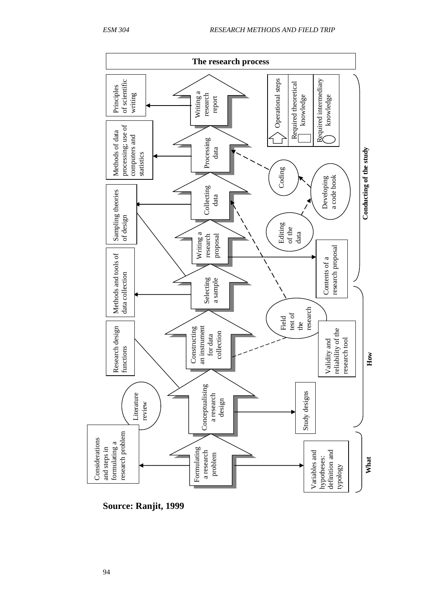

**Source: Ranjit, 1999**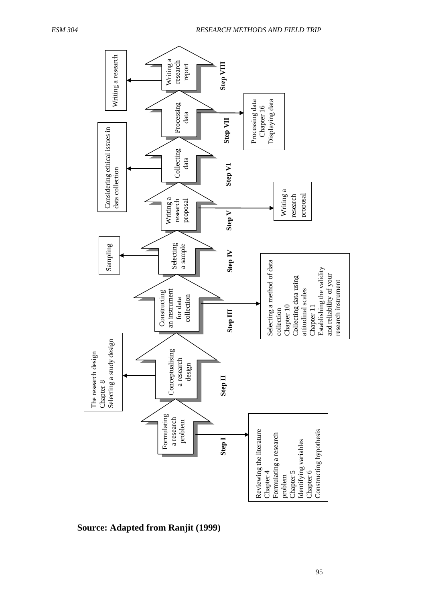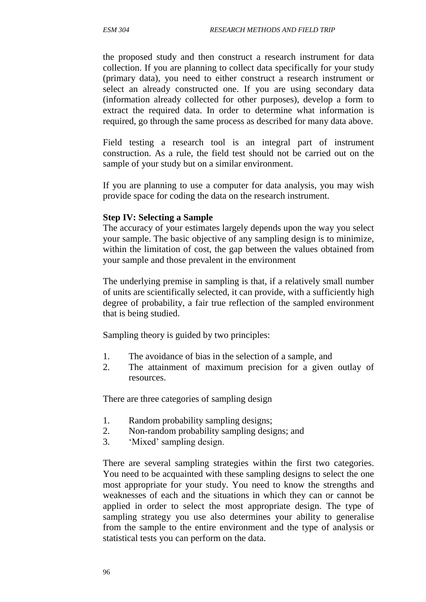the proposed study and then construct a research instrument for data collection. If you are planning to collect data specifically for your study (primary data), you need to either construct a research instrument or select an already constructed one. If you are using secondary data (information already collected for other purposes), develop a form to extract the required data. In order to determine what information is required, go through the same process as described for many data above.

Field testing a research tool is an integral part of instrument construction. As a rule, the field test should not be carried out on the sample of your study but on a similar environment.

If you are planning to use a computer for data analysis, you may wish provide space for coding the data on the research instrument.

#### **Step IV: Selecting a Sample**

The accuracy of your estimates largely depends upon the way you select your sample. The basic objective of any sampling design is to minimize, within the limitation of cost, the gap between the values obtained from your sample and those prevalent in the environment

The underlying premise in sampling is that, if a relatively small number of units are scientifically selected, it can provide, with a sufficiently high degree of probability, a fair true reflection of the sampled environment that is being studied.

Sampling theory is guided by two principles:

- 1. The avoidance of bias in the selection of a sample, and
- 2. The attainment of maximum precision for a given outlay of resources.

There are three categories of sampling design

- 1. Random probability sampling designs;
- 2. Non-random probability sampling designs; and
- 3. 'Mixed' sampling design.

There are several sampling strategies within the first two categories. You need to be acquainted with these sampling designs to select the one most appropriate for your study. You need to know the strengths and weaknesses of each and the situations in which they can or cannot be applied in order to select the most appropriate design. The type of sampling strategy you use also determines your ability to generalise from the sample to the entire environment and the type of analysis or statistical tests you can perform on the data.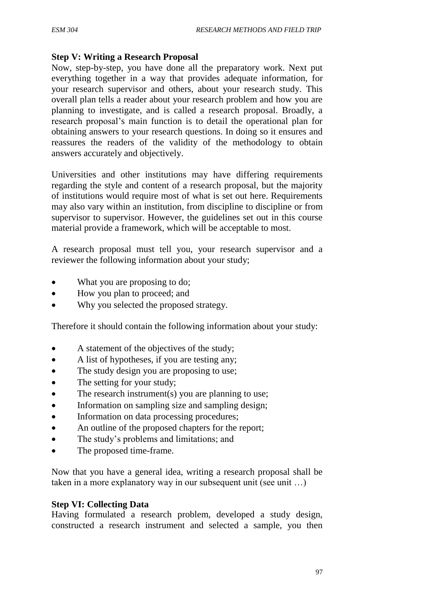#### **Step V: Writing a Research Proposal**

Now, step-by-step, you have done all the preparatory work. Next put everything together in a way that provides adequate information, for your research supervisor and others, about your research study. This overall plan tells a reader about your research problem and how you are planning to investigate, and is called a research proposal. Broadly, a research proposal's main function is to detail the operational plan for obtaining answers to your research questions. In doing so it ensures and reassures the readers of the validity of the methodology to obtain answers accurately and objectively.

Universities and other institutions may have differing requirements regarding the style and content of a research proposal, but the majority of institutions would require most of what is set out here. Requirements may also vary within an institution, from discipline to discipline or from supervisor to supervisor. However, the guidelines set out in this course material provide a framework, which will be acceptable to most.

A research proposal must tell you, your research supervisor and a reviewer the following information about your study;

- What you are proposing to do;
- How you plan to proceed; and
- Why you selected the proposed strategy.

Therefore it should contain the following information about your study:

- A statement of the objectives of the study;
- A list of hypotheses, if you are testing any;
- The study design you are proposing to use;
- The setting for your study;
- The research instrument(s) you are planning to use;
- Information on sampling size and sampling design;
- Information on data processing procedures;
- An outline of the proposed chapters for the report;
- The study's problems and limitations; and
- The proposed time-frame.

Now that you have a general idea, writing a research proposal shall be taken in a more explanatory way in our subsequent unit (see unit …)

#### **Step VI: Collecting Data**

Having formulated a research problem, developed a study design, constructed a research instrument and selected a sample, you then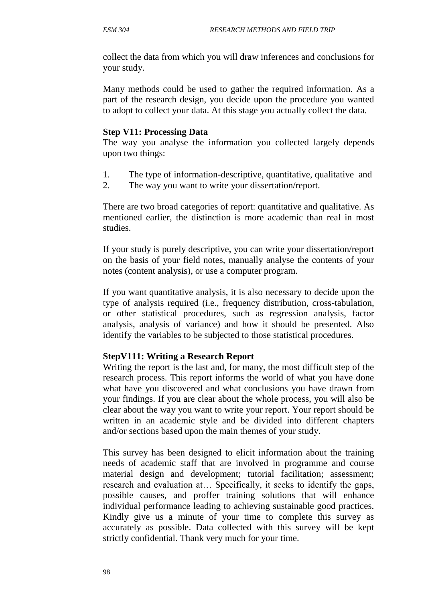collect the data from which you will draw inferences and conclusions for your study.

Many methods could be used to gather the required information. As a part of the research design, you decide upon the procedure you wanted to adopt to collect your data. At this stage you actually collect the data.

#### **Step V11: Processing Data**

The way you analyse the information you collected largely depends upon two things:

- 1. The type of information-descriptive, quantitative, qualitative and
- 2. The way you want to write your dissertation/report.

There are two broad categories of report: quantitative and qualitative. As mentioned earlier, the distinction is more academic than real in most studies.

If your study is purely descriptive, you can write your dissertation/report on the basis of your field notes, manually analyse the contents of your notes (content analysis), or use a computer program.

If you want quantitative analysis, it is also necessary to decide upon the type of analysis required (i.e., frequency distribution, cross-tabulation, or other statistical procedures, such as regression analysis, factor analysis, analysis of variance) and how it should be presented. Also identify the variables to be subjected to those statistical procedures.

#### **StepV111: Writing a Research Report**

Writing the report is the last and, for many, the most difficult step of the research process. This report informs the world of what you have done what have you discovered and what conclusions you have drawn from your findings. If you are clear about the whole process, you will also be clear about the way you want to write your report. Your report should be written in an academic style and be divided into different chapters and/or sections based upon the main themes of your study.

This survey has been designed to elicit information about the training needs of academic staff that are involved in programme and course material design and development; tutorial facilitation; assessment; research and evaluation at… Specifically, it seeks to identify the gaps, possible causes, and proffer training solutions that will enhance individual performance leading to achieving sustainable good practices. Kindly give us a minute of your time to complete this survey as accurately as possible. Data collected with this survey will be kept strictly confidential. Thank very much for your time.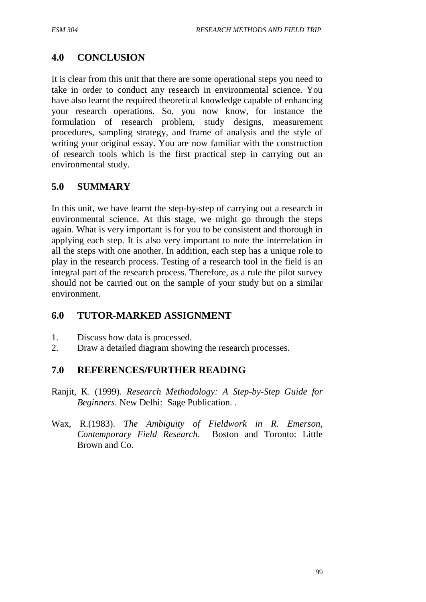# **4.0 CONCLUSION**

It is clear from this unit that there are some operational steps you need to take in order to conduct any research in environmental science. You have also learnt the required theoretical knowledge capable of enhancing your research operations. So, you now know, for instance the formulation of research problem, study designs, measurement procedures, sampling strategy, and frame of analysis and the style of writing your original essay. You are now familiar with the construction of research tools which is the first practical step in carrying out an environmental study.

## **5.0 SUMMARY**

In this unit, we have learnt the step-by-step of carrying out a research in environmental science. At this stage, we might go through the steps again. What is very important is for you to be consistent and thorough in applying each step. It is also very important to note the interrelation in all the steps with one another. In addition, each step has a unique role to play in the research process. Testing of a research tool in the field is an integral part of the research process. Therefore, as a rule the pilot survey should not be carried out on the sample of your study but on a similar environment.

## **6.0 TUTOR-MARKED ASSIGNMENT**

- 1. Discuss how data is processed.
- 2. Draw a detailed diagram showing the research processes.

## **7.0 REFERENCES/FURTHER READING**

- Ranjit, K. (1999). *Research Methodology: A Step-by-Step Guide for Beginners*. New Delhi: Sage Publication. .
- Wax, R.(1983). *The Ambiguity of Fieldwork in R. Emerson, Contemporary Field Research*. Boston and Toronto: Little Brown and Co.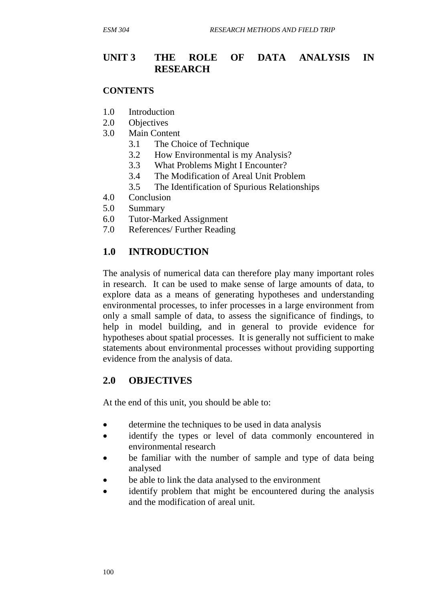## **UNIT 3 THE ROLE OF DATA ANALYSIS IN RESEARCH**

#### **CONTENTS**

- 1.0 Introduction
- 2.0 Objectives
- 3.0 Main Content
	- 3.1 The Choice of Technique
	- 3.2 How Environmental is my Analysis?
	- 3.3 What Problems Might I Encounter?
	- 3.4 The Modification of Areal Unit Problem
	- 3.5 The Identification of Spurious Relationships
- 4.0 Conclusion
- 5.0 Summary
- 6.0 Tutor-Marked Assignment
- 7.0 References/ Further Reading

## **1.0 INTRODUCTION**

The analysis of numerical data can therefore play many important roles in research. It can be used to make sense of large amounts of data, to explore data as a means of generating hypotheses and understanding environmental processes, to infer processes in a large environment from only a small sample of data, to assess the significance of findings, to help in model building, and in general to provide evidence for hypotheses about spatial processes. It is generally not sufficient to make statements about environmental processes without providing supporting evidence from the analysis of data.

#### **2.0 OBJECTIVES**

At the end of this unit, you should be able to:

- determine the techniques to be used in data analysis
- identify the types or level of data commonly encountered in environmental research
- be familiar with the number of sample and type of data being analysed
- be able to link the data analysed to the environment
- identify problem that might be encountered during the analysis and the modification of areal unit.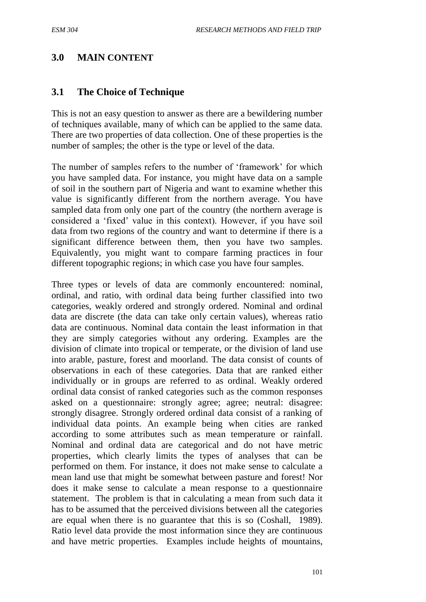#### **3.0 MAIN CONTENT**

#### **3.1 The Choice of Technique**

This is not an easy question to answer as there are a bewildering number of techniques available, many of which can be applied to the same data. There are two properties of data collection. One of these properties is the number of samples; the other is the type or level of the data.

The number of samples refers to the number of 'framework' for which you have sampled data. For instance, you might have data on a sample of soil in the southern part of Nigeria and want to examine whether this value is significantly different from the northern average. You have sampled data from only one part of the country (the northern average is considered a 'fixed' value in this context). However, if you have soil data from two regions of the country and want to determine if there is a significant difference between them, then you have two samples. Equivalently, you might want to compare farming practices in four different topographic regions; in which case you have four samples.

Three types or levels of data are commonly encountered: nominal, ordinal, and ratio, with ordinal data being further classified into two categories, weakly ordered and strongly ordered. Nominal and ordinal data are discrete (the data can take only certain values), whereas ratio data are continuous. Nominal data contain the least information in that they are simply categories without any ordering. Examples are the division of climate into tropical or temperate, or the division of land use into arable, pasture, forest and moorland. The data consist of counts of observations in each of these categories. Data that are ranked either individually or in groups are referred to as ordinal. Weakly ordered ordinal data consist of ranked categories such as the common responses asked on a questionnaire: strongly agree; agree; neutral: disagree: strongly disagree. Strongly ordered ordinal data consist of a ranking of individual data points. An example being when cities are ranked according to some attributes such as mean temperature or rainfall. Nominal and ordinal data are categorical and do not have metric properties, which clearly limits the types of analyses that can be performed on them. For instance, it does not make sense to calculate a mean land use that might be somewhat between pasture and forest! Nor does it make sense to calculate a mean response to a questionnaire statement. The problem is that in calculating a mean from such data it has to be assumed that the perceived divisions between all the categories are equal when there is no guarantee that this is so (Coshall, 1989). Ratio level data provide the most information since they are continuous and have metric properties. Examples include heights of mountains,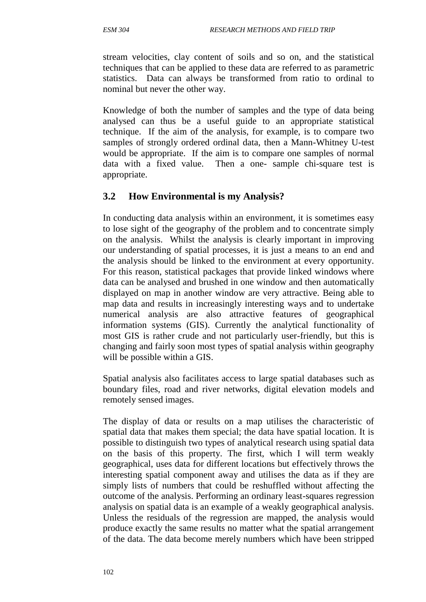stream velocities, clay content of soils and so on, and the statistical techniques that can be applied to these data are referred to as parametric statistics. Data can always be transformed from ratio to ordinal to nominal but never the other way.

Knowledge of both the number of samples and the type of data being analysed can thus be a useful guide to an appropriate statistical technique. If the aim of the analysis, for example, is to compare two samples of strongly ordered ordinal data, then a Mann-Whitney U-test would be appropriate. If the aim is to compare one samples of normal data with a fixed value. Then a one- sample chi-square test is appropriate.

#### **3.2 How Environmental is my Analysis?**

In conducting data analysis within an environment, it is sometimes easy to lose sight of the geography of the problem and to concentrate simply on the analysis. Whilst the analysis is clearly important in improving our understanding of spatial processes, it is just a means to an end and the analysis should be linked to the environment at every opportunity. For this reason, statistical packages that provide linked windows where data can be analysed and brushed in one window and then automatically displayed on map in another window are very attractive. Being able to map data and results in increasingly interesting ways and to undertake numerical analysis are also attractive features of geographical information systems (GIS). Currently the analytical functionality of most GIS is rather crude and not particularly user-friendly, but this is changing and fairly soon most types of spatial analysis within geography will be possible within a GIS.

Spatial analysis also facilitates access to large spatial databases such as boundary files, road and river networks, digital elevation models and remotely sensed images.

The display of data or results on a map utilises the characteristic of spatial data that makes them special; the data have spatial location. It is possible to distinguish two types of analytical research using spatial data on the basis of this property. The first, which I will term weakly geographical, uses data for different locations but effectively throws the interesting spatial component away and utilises the data as if they are simply lists of numbers that could be reshuffled without affecting the outcome of the analysis. Performing an ordinary least-squares regression analysis on spatial data is an example of a weakly geographical analysis. Unless the residuals of the regression are mapped, the analysis would produce exactly the same results no matter what the spatial arrangement of the data. The data become merely numbers which have been stripped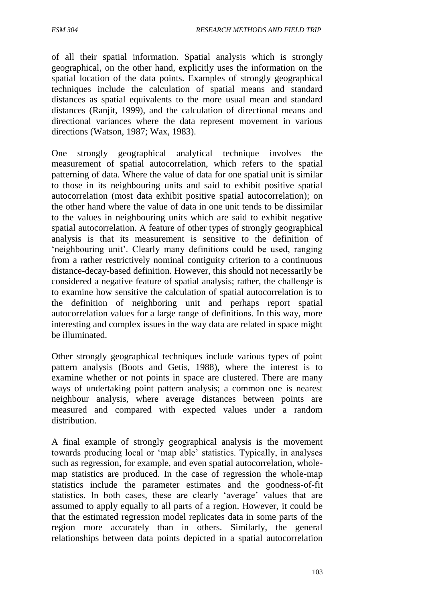of all their spatial information. Spatial analysis which is strongly geographical, on the other hand, explicitly uses the information on the spatial location of the data points. Examples of strongly geographical techniques include the calculation of spatial means and standard distances as spatial equivalents to the more usual mean and standard distances (Ranjit, 1999), and the calculation of directional means and directional variances where the data represent movement in various directions (Watson, 1987; Wax, 1983).

One strongly geographical analytical technique involves the measurement of spatial autocorrelation, which refers to the spatial patterning of data. Where the value of data for one spatial unit is similar to those in its neighbouring units and said to exhibit positive spatial autocorrelation (most data exhibit positive spatial autocorrelation); on the other hand where the value of data in one unit tends to be dissimilar to the values in neighbouring units which are said to exhibit negative spatial autocorrelation. A feature of other types of strongly geographical analysis is that its measurement is sensitive to the definition of 'neighbouring unit'. Clearly many definitions could be used, ranging from a rather restrictively nominal contiguity criterion to a continuous distance-decay-based definition. However, this should not necessarily be considered a negative feature of spatial analysis; rather, the challenge is to examine how sensitive the calculation of spatial autocorrelation is to the definition of neighboring unit and perhaps report spatial autocorrelation values for a large range of definitions. In this way, more interesting and complex issues in the way data are related in space might be illuminated.

Other strongly geographical techniques include various types of point pattern analysis (Boots and Getis, 1988), where the interest is to examine whether or not points in space are clustered. There are many ways of undertaking point pattern analysis; a common one is nearest neighbour analysis, where average distances between points are measured and compared with expected values under a random distribution.

A final example of strongly geographical analysis is the movement towards producing local or 'map able' statistics. Typically, in analyses such as regression, for example, and even spatial autocorrelation, wholemap statistics are produced. In the case of regression the whole-map statistics include the parameter estimates and the goodness-of-fit statistics. In both cases, these are clearly 'average' values that are assumed to apply equally to all parts of a region. However, it could be that the estimated regression model replicates data in some parts of the region more accurately than in others. Similarly, the general relationships between data points depicted in a spatial autocorrelation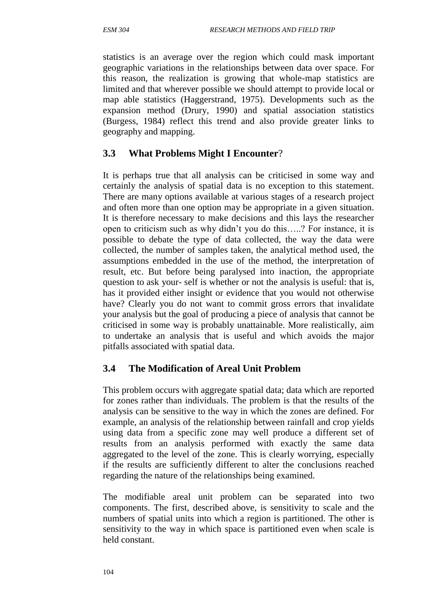statistics is an average over the region which could mask important geographic variations in the relationships between data over space. For this reason, the realization is growing that whole-map statistics are limited and that wherever possible we should attempt to provide local or map able statistics (Haggerstrand, 1975). Developments such as the expansion method (Drury, 1990) and spatial association statistics (Burgess, 1984) reflect this trend and also provide greater links to geography and mapping.

## **3.3 What Problems Might I Encounter**?

It is perhaps true that all analysis can be criticised in some way and certainly the analysis of spatial data is no exception to this statement. There are many options available at various stages of a research project and often more than one option may be appropriate in a given situation. It is therefore necessary to make decisions and this lays the researcher open to criticism such as why didn't you do this…..? For instance, it is possible to debate the type of data collected, the way the data were collected, the number of samples taken, the analytical method used, the assumptions embedded in the use of the method, the interpretation of result, etc. But before being paralysed into inaction, the appropriate question to ask your- self is whether or not the analysis is useful: that is, has it provided either insight or evidence that you would not otherwise have? Clearly you do not want to commit gross errors that invalidate your analysis but the goal of producing a piece of analysis that cannot be criticised in some way is probably unattainable. More realistically, aim to undertake an analysis that is useful and which avoids the major pitfalls associated with spatial data.

## **3.4 The Modification of Areal Unit Problem**

This problem occurs with aggregate spatial data; data which are reported for zones rather than individuals. The problem is that the results of the analysis can be sensitive to the way in which the zones are defined. For example, an analysis of the relationship between rainfall and crop yields using data from a specific zone may well produce a different set of results from an analysis performed with exactly the same data aggregated to the level of the zone. This is clearly worrying, especially if the results are sufficiently different to alter the conclusions reached regarding the nature of the relationships being examined.

The modifiable areal unit problem can be separated into two components. The first, described above, is sensitivity to scale and the numbers of spatial units into which a region is partitioned. The other is sensitivity to the way in which space is partitioned even when scale is held constant.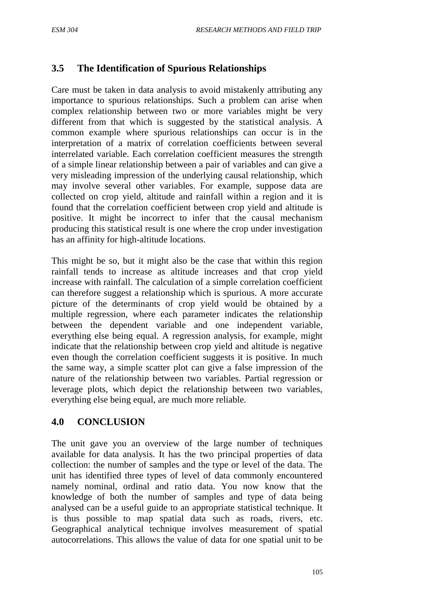# **3.5 The Identification of Spurious Relationships**

Care must be taken in data analysis to avoid mistakenly attributing any importance to spurious relationships. Such a problem can arise when complex relationship between two or more variables might be very different from that which is suggested by the statistical analysis. A common example where spurious relationships can occur is in the interpretation of a matrix of correlation coefficients between several interrelated variable. Each correlation coefficient measures the strength of a simple linear relationship between a pair of variables and can give a very misleading impression of the underlying causal relationship, which may involve several other variables. For example, suppose data are collected on crop yield, altitude and rainfall within a region and it is found that the correlation coefficient between crop yield and altitude is positive. It might be incorrect to infer that the causal mechanism producing this statistical result is one where the crop under investigation has an affinity for high-altitude locations.

This might be so, but it might also be the case that within this region rainfall tends to increase as altitude increases and that crop yield increase with rainfall. The calculation of a simple correlation coefficient can therefore suggest a relationship which is spurious. A more accurate picture of the determinants of crop yield would be obtained by a multiple regression, where each parameter indicates the relationship between the dependent variable and one independent variable, everything else being equal. A regression analysis, for example, might indicate that the relationship between crop yield and altitude is negative even though the correlation coefficient suggests it is positive. In much the same way, a simple scatter plot can give a false impression of the nature of the relationship between two variables. Partial regression or leverage plots, which depict the relationship between two variables, everything else being equal, are much more reliable.

## **4.0 CONCLUSION**

The unit gave you an overview of the large number of techniques available for data analysis. It has the two principal properties of data collection: the number of samples and the type or level of the data. The unit has identified three types of level of data commonly encountered namely nominal, ordinal and ratio data. You now know that the knowledge of both the number of samples and type of data being analysed can be a useful guide to an appropriate statistical technique. It is thus possible to map spatial data such as roads, rivers, etc. Geographical analytical technique involves measurement of spatial autocorrelations. This allows the value of data for one spatial unit to be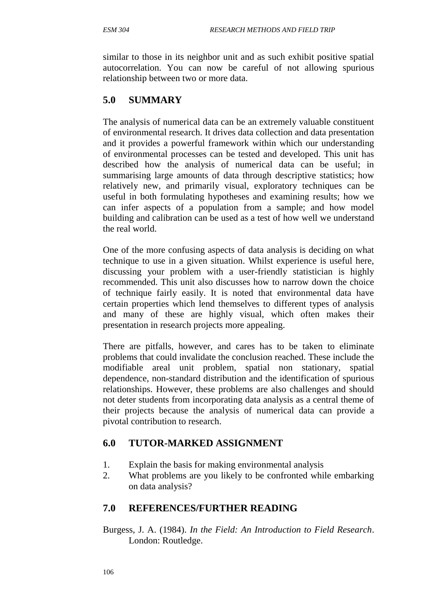similar to those in its neighbor unit and as such exhibit positive spatial autocorrelation. You can now be careful of not allowing spurious relationship between two or more data.

# **5.0 SUMMARY**

The analysis of numerical data can be an extremely valuable constituent of environmental research. It drives data collection and data presentation and it provides a powerful framework within which our understanding of environmental processes can be tested and developed. This unit has described how the analysis of numerical data can be useful; in summarising large amounts of data through descriptive statistics; how relatively new, and primarily visual, exploratory techniques can be useful in both formulating hypotheses and examining results; how we can infer aspects of a population from a sample; and how model building and calibration can be used as a test of how well we understand the real world.

One of the more confusing aspects of data analysis is deciding on what technique to use in a given situation. Whilst experience is useful here, discussing your problem with a user-friendly statistician is highly recommended. This unit also discusses how to narrow down the choice of technique fairly easily. It is noted that environmental data have certain properties which lend themselves to different types of analysis and many of these are highly visual, which often makes their presentation in research projects more appealing.

There are pitfalls, however, and cares has to be taken to eliminate problems that could invalidate the conclusion reached. These include the modifiable areal unit problem, spatial non stationary, spatial dependence, non-standard distribution and the identification of spurious relationships. However, these problems are also challenges and should not deter students from incorporating data analysis as a central theme of their projects because the analysis of numerical data can provide a pivotal contribution to research.

# **6.0 TUTOR-MARKED ASSIGNMENT**

- 1. Explain the basis for making environmental analysis
- 2. What problems are you likely to be confronted while embarking on data analysis?

# **7.0 REFERENCES/FURTHER READING**

Burgess, J. A. (1984). *In the Field: An Introduction to Field Research*. London: Routledge.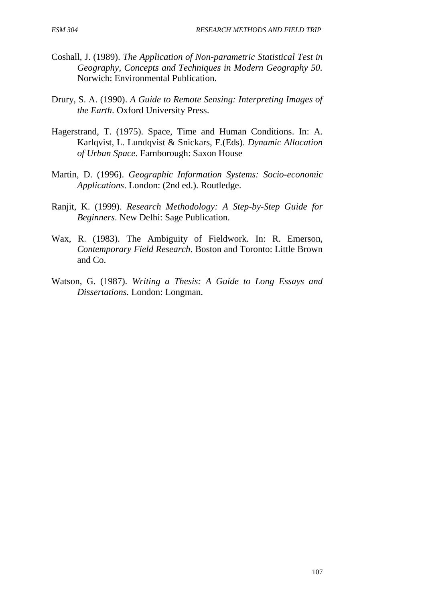- Coshall, J. (1989). *The Application of Non-parametric Statistical Test in Geography, Concepts and Techniques in Modern Geography 50.* Norwich: Environmental Publication.
- Drury, S. A. (1990). *A Guide to Remote Sensing: Interpreting Images of the Earth*. Oxford University Press.
- Hagerstrand, T. (1975). Space, Time and Human Conditions. In: A. Karlqvist, L. Lundqvist & Snickars, F.(Eds). *Dynamic Allocation of Urban Space*. Farnborough: Saxon House
- Martin, D. (1996). *Geographic Information Systems: Socio-economic Applications*. London: (2nd ed.). Routledge.
- Ranjit, K. (1999). *Research Methodology: A Step-by-Step Guide for Beginners*. New Delhi: Sage Publication.
- Wax, R. (1983). The Ambiguity of Fieldwork*.* In: R. Emerson, *Contemporary Field Research*. Boston and Toronto: Little Brown and Co.
- Watson, G. (1987). *Writing a Thesis: A Guide to Long Essays and Dissertations.* London: Longman.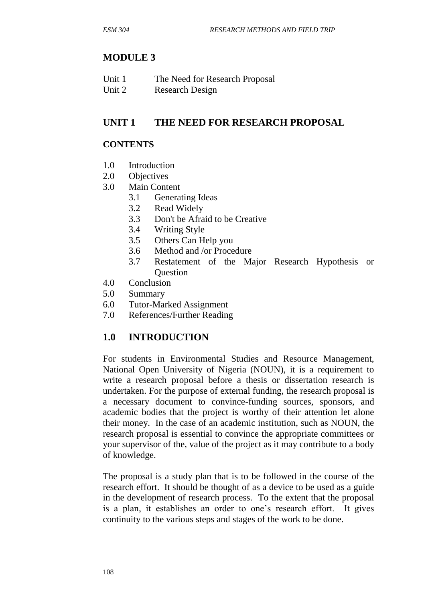#### **MODULE 3**

| Unit 1         | The Need for Research Proposal |
|----------------|--------------------------------|
| $TTL$ $\Omega$ | n 1. <b>n</b>                  |

Unit 2 Research Design

#### **UNIT 1 THE NEED FOR RESEARCH PROPOSAL**

#### **CONTENTS**

- 1.0 Introduction
- 2.0 Objectives
- 3.0 Main Content
	- 3.1 Generating Ideas
		- 3.2 Read Widely
	- 3.3 Don't be Afraid to be Creative
	- 3.4 Writing Style
	- 3.5 Others Can Help you
	- 3.6 Method and /or Procedure
	- 3.7 Restatement of the Major Research Hypothesis or **Ouestion**
- 4.0 Conclusion
- 5.0 Summary
- 6.0 Tutor-Marked Assignment
- 7.0 References/Further Reading

#### **1.0 INTRODUCTION**

For students in Environmental Studies and Resource Management, National Open University of Nigeria (NOUN), it is a requirement to write a research proposal before a thesis or dissertation research is undertaken. For the purpose of external funding, the research proposal is a necessary document to convince-funding sources, sponsors, and academic bodies that the project is worthy of their attention let alone their money. In the case of an academic institution, such as NOUN, the research proposal is essential to convince the appropriate committees or your supervisor of the, value of the project as it may contribute to a body of knowledge.

The proposal is a study plan that is to be followed in the course of the research effort. It should be thought of as a device to be used as a guide in the development of research process. To the extent that the proposal is a plan, it establishes an order to one's research effort. It gives continuity to the various steps and stages of the work to be done.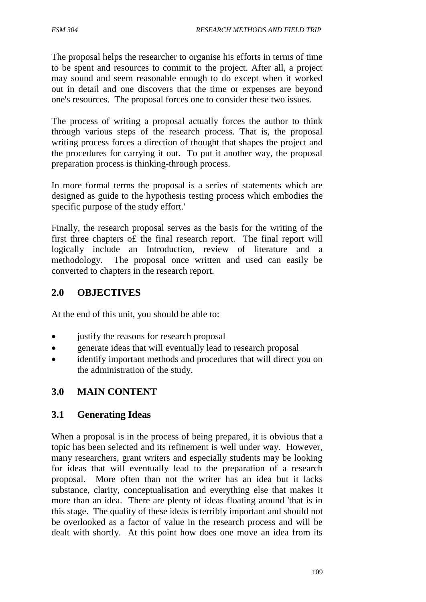The proposal helps the researcher to organise his efforts in terms of time to be spent and resources to commit to the project. After all, a project may sound and seem reasonable enough to do except when it worked out in detail and one discovers that the time or expenses are beyond one's resources. The proposal forces one to consider these two issues.

The process of writing a proposal actually forces the author to think through various steps of the research process. That is, the proposal writing process forces a direction of thought that shapes the project and the procedures for carrying it out. To put it another way, the proposal preparation process is thinking-through process.

In more formal terms the proposal is a series of statements which are designed as guide to the hypothesis testing process which embodies the specific purpose of the study effort.'

Finally, the research proposal serves as the basis for the writing of the first three chapters o£ the final research report. The final report will logically include an Introduction, review of literature and a methodology. The proposal once written and used can easily be converted to chapters in the research report.

## **2.0 OBJECTIVES**

At the end of this unit, you should be able to:

- justify the reasons for research proposal
- generate ideas that will eventually lead to research proposal
- identify important methods and procedures that will direct you on the administration of the study.

## **3.0 MAIN CONTENT**

#### **3.1 Generating Ideas**

When a proposal is in the process of being prepared, it is obvious that a topic has been selected and its refinement is well under way. However, many researchers, grant writers and especially students may be looking for ideas that will eventually lead to the preparation of a research proposal. More often than not the writer has an idea but it lacks substance, clarity, conceptualisation and everything else that makes it more than an idea. There are plenty of ideas floating around 'that is in this stage. The quality of these ideas is terribly important and should not be overlooked as a factor of value in the research process and will be dealt with shortly. At this point how does one move an idea from its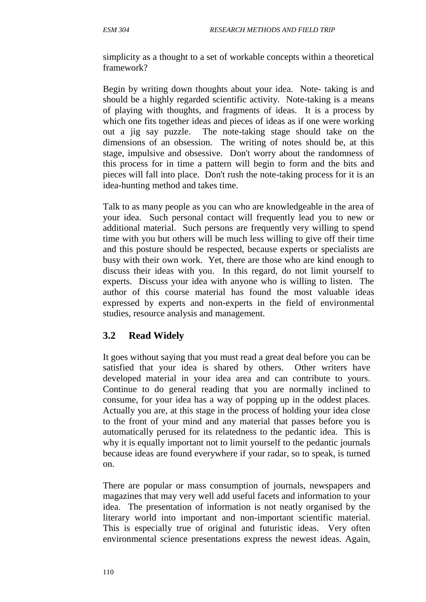simplicity as a thought to a set of workable concepts within a theoretical framework?

Begin by writing down thoughts about your idea. Note- taking is and should be a highly regarded scientific activity. Note-taking is a means of playing with thoughts, and fragments of ideas. It is a process by which one fits together ideas and pieces of ideas as if one were working out a jig say puzzle. The note-taking stage should take on the dimensions of an obsession. The writing of notes should be, at this stage, impulsive and obsessive. Don't worry about the randomness of this process for in time a pattern will begin to form and the bits and pieces will fall into place. Don't rush the note-taking process for it is an idea-hunting method and takes time.

Talk to as many people as you can who are knowledgeable in the area of your idea. Such personal contact will frequently lead you to new or additional material. Such persons are frequently very willing to spend time with you but others will be much less willing to give off their time and this posture should be respected, because experts or specialists are busy with their own work. Yet, there are those who are kind enough to discuss their ideas with you. In this regard, do not limit yourself to experts. Discuss your idea with anyone who is willing to listen. The author of this course material has found the most valuable ideas expressed by experts and non-experts in the field of environmental studies, resource analysis and management.

## **3.2 Read Widely**

It goes without saying that you must read a great deal before you can be satisfied that your idea is shared by others. Other writers have developed material in your idea area and can contribute to yours. Continue to do general reading that you are normally inclined to consume, for your idea has a way of popping up in the oddest places. Actually you are, at this stage in the process of holding your idea close to the front of your mind and any material that passes before you is automatically perused for its relatedness to the pedantic idea. This is why it is equally important not to limit yourself to the pedantic journals because ideas are found everywhere if your radar, so to speak, is turned on.

There are popular or mass consumption of journals, newspapers and magazines that may very well add useful facets and information to your idea. The presentation of information is not neatly organised by the literary world into important and non-important scientific material. This is especially true of original and futuristic ideas. Very often environmental science presentations express the newest ideas. Again,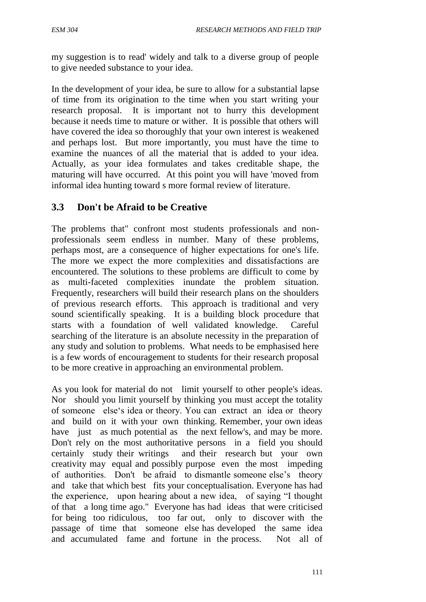my suggestion is to read' widely and talk to a diverse group of people to give needed substance to your idea.

In the development of your idea, be sure to allow for a substantial lapse of time from its origination to the time when you start writing your research proposal. It is important not to hurry this development because it needs time to mature or wither. It is possible that others will have covered the idea so thoroughly that your own interest is weakened and perhaps lost. But more importantly, you must have the time to examine the nuances of all the material that is added to your idea. Actually, as your idea formulates and takes creditable shape, the maturing will have occurred. At this point you will have 'moved from informal idea hunting toward s more formal review of literature.

## **3.3 Don't be Afraid to be Creative**

The problems that" confront most students professionals and nonprofessionals seem endless in number. Many of these problems, perhaps most, are a consequence of higher expectations for one's life. The more we expect the more complexities and dissatisfactions are encountered. The solutions to these problems are difficult to come by as multi-faceted complexities inundate the problem situation. Frequently, researchers will build their research plans on the shoulders of previous research efforts. This approach is traditional and very sound scientifically speaking. It is a building block procedure that starts with a foundation of well validated knowledge. Careful searching of the literature is an absolute necessity in the preparation of any study and solution to problems. What needs to be emphasised here is a few words of encouragement to students for their research proposal to be more creative in approaching an environmental problem.

As you look for material do not limit yourself to other people's ideas. Nor should you limit yourself by thinking you must accept the totality of someone else's idea or theory. You can extract an idea or theory and build on it with your own thinking. Remember, your own ideas have just as much potential as the next fellow's, and may be more. Don't rely on the most authoritative persons in a field you should certainly study their writings and their research but your own creativity may equal and possibly purpose even the most impeding of authorities. Don't be afraid to dismantle someone else's theory and take that which best fits your conceptualisation. Everyone has had the experience, upon hearing about a new idea, of saying "I thought of that a long time ago." Everyone has had ideas that were criticised for being too ridiculous, too far out, only to discover with the passage of time that someone else has developed the same idea and accumulated fame and fortune in the process. Not all of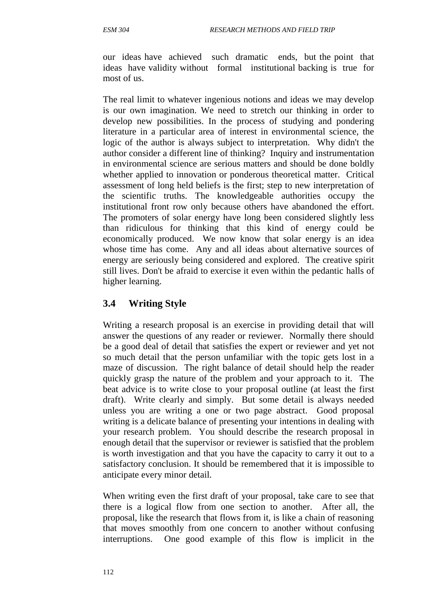our ideas have achieved such dramatic ends, but the point that ideas have validity without formal institutional backing is true for most of us.

The real limit to whatever ingenious notions and ideas we may develop is our own imagination. We need to stretch our thinking in order to develop new possibilities. In the process of studying and pondering literature in a particular area of interest in environmental science, the logic of the author is always subject to interpretation. Why didn't the author consider a different line of thinking? Inquiry and instrumentation in environmental science are serious matters and should be done boldly whether applied to innovation or ponderous theoretical matter. Critical assessment of long held beliefs is the first; step to new interpretation of the scientific truths. The knowledgeable authorities occupy the institutional front row only because others have abandoned the effort. The promoters of solar energy have long been considered slightly less than ridiculous for thinking that this kind of energy could be economically produced. We now know that solar energy is an idea whose time has come. Any and all ideas about alternative sources of energy are seriously being considered and explored. The creative spirit still lives. Don't be afraid to exercise it even within the pedantic halls of higher learning.

## **3.4 Writing Style**

Writing a research proposal is an exercise in providing detail that will answer the questions of any reader or reviewer. Normally there should be a good deal of detail that satisfies the expert or reviewer and yet not so much detail that the person unfamiliar with the topic gets lost in a maze of discussion. The right balance of detail should help the reader quickly grasp the nature of the problem and your approach to it. The beat advice is to write close to your proposal outline (at least the first draft). Write clearly and simply. But some detail is always needed unless you are writing a one or two page abstract. Good proposal writing is a delicate balance of presenting your intentions in dealing with your research problem. You should describe the research proposal in enough detail that the supervisor or reviewer is satisfied that the problem is worth investigation and that you have the capacity to carry it out to a satisfactory conclusion. It should be remembered that it is impossible to anticipate every minor detail.

When writing even the first draft of your proposal, take care to see that there is a logical flow from one section to another. After all, the proposal, like the research that flows from it, is like a chain of reasoning that moves smoothly from one concern to another without confusing interruptions. One good example of this flow is implicit in the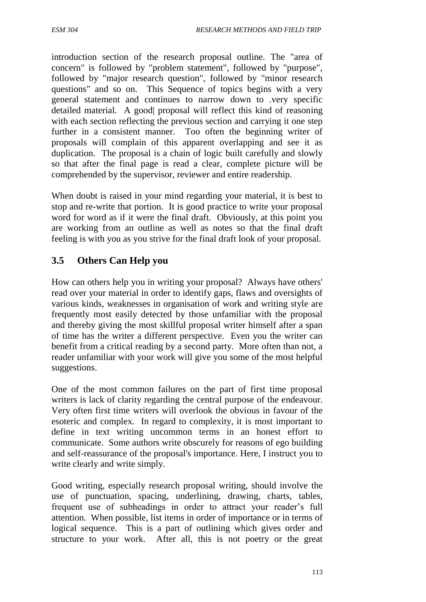introduction section of the research proposal outline. The "area of concern" is followed by "problem statement", followed by "purpose", followed by "major research question", followed by "minor research questions" and so on. This Sequence of topics begins with a very general statement and continues to narrow down to .very specific detailed material. A good| proposal will reflect this kind of reasoning with each section reflecting the previous section and carrying it one step further in a consistent manner. Too often the beginning writer of proposals will complain of this apparent overlapping and see it as duplication. The proposal is a chain of logic built carefully and slowly so that after the final page is read a clear, complete picture will be comprehended by the supervisor, reviewer and entire readership.

When doubt is raised in your mind regarding your material, it is best to stop and re-write that portion. It is good practice to write your proposal word for word as if it were the final draft. Obviously, at this point you are working from an outline as well as notes so that the final draft feeling is with you as you strive for the final draft look of your proposal.

## **3.5 Others Can Help you**

How can others help you in writing your proposal? Always have others' read over your material in order to identify gaps, flaws and oversights of various kinds, weaknesses in organisation of work and writing style are frequently most easily detected by those unfamiliar with the proposal and thereby giving the most skillful proposal writer himself after a span of time has the writer a different perspective. Even you the writer can benefit from a critical reading by a second party. More often than not, a reader unfamiliar with your work will give you some of the most helpful suggestions.

One of the most common failures on the part of first time proposal writers is lack of clarity regarding the central purpose of the endeavour. Very often first time writers will overlook the obvious in favour of the esoteric and complex. In regard to complexity, it is most important to define in text writing uncommon terms in an honest effort to communicate. Some authors write obscurely for reasons of ego building and self-reassurance of the proposal's importance. Here, I instruct you to write clearly and write simply.

Good writing, especially research proposal writing, should involve the use of punctuation, spacing, underlining, drawing, charts, tables, frequent use of subheadings in order to attract your reader's full attention. When possible, list items in order of importance or in terms of logical sequence. This is a part of outlining which gives order and structure to your work. After all, this is not poetry or the great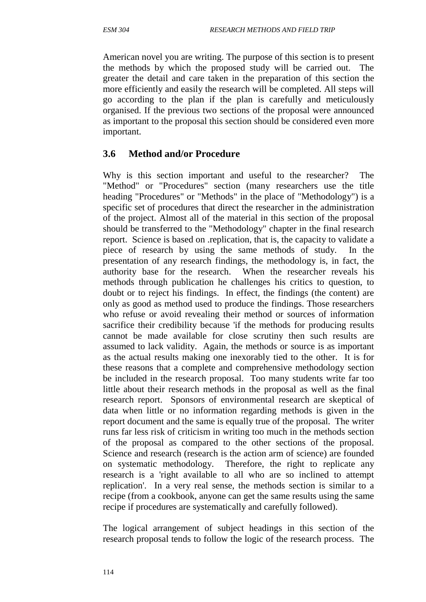American novel you are writing. The purpose of this section is to present the methods by which the proposed study will be carried out. The greater the detail and care taken in the preparation of this section the more efficiently and easily the research will be completed. All steps will go according to the plan if the plan is carefully and meticulously organised. If the previous two sections of the proposal were announced as important to the proposal this section should be considered even more important.

## **3.6 Method and/or Procedure**

Why is this section important and useful to the researcher? The "Method" or "Procedures" section (many researchers use the title heading "Procedures" or "Methods" in the place of "Methodology") is a specific set of procedures that direct the researcher in the administration of the project. Almost all of the material in this section of the proposal should be transferred to the "Methodology" chapter in the final research report. Science is based on .replication, that is, the capacity to validate a piece of research by using the same methods of study. In the presentation of any research findings, the methodology is, in fact, the authority base for the research. When the researcher reveals his methods through publication he challenges his critics to question, to doubt or to reject his findings. In effect, the findings (the content) are only as good as method used to produce the findings. Those researchers who refuse or avoid revealing their method or sources of information sacrifice their credibility because 'if the methods for producing results cannot be made available for close scrutiny then such results are assumed to lack validity. Again, the methods or source is as important as the actual results making one inexorably tied to the other. It is for these reasons that a complete and comprehensive methodology section be included in the research proposal. Too many students write far too little about their research methods in the proposal as well as the final research report. Sponsors of environmental research are skeptical of data when little or no information regarding methods is given in the report document and the same is equally true of the proposal. The writer runs far less risk of criticism in writing too much in the methods section of the proposal as compared to the other sections of the proposal. Science and research (research is the action arm of science) are founded on systematic methodology. Therefore, the right to replicate any research is a 'right available to all who are so inclined to attempt replication'. In a very real sense, the methods section is similar to a recipe (from a cookbook, anyone can get the same results using the same recipe if procedures are systematically and carefully followed).

The logical arrangement of subject headings in this section of the research proposal tends to follow the logic of the research process. The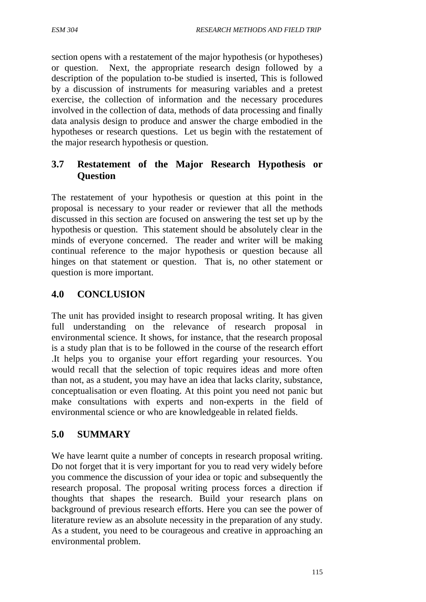section opens with a restatement of the major hypothesis (or hypotheses) or question. Next, the appropriate research design followed by a description of the population to-be studied is inserted, This is followed by a discussion of instruments for measuring variables and a pretest exercise, the collection of information and the necessary procedures involved in the collection of data, methods of data processing and finally data analysis design to produce and answer the charge embodied in the hypotheses or research questions. Let us begin with the restatement of the major research hypothesis or question.

# **3.7 Restatement of the Major Research Hypothesis or Question**

The restatement of your hypothesis or question at this point in the proposal is necessary to your reader or reviewer that all the methods discussed in this section are focused on answering the test set up by the hypothesis or question. This statement should be absolutely clear in the minds of everyone concerned. The reader and writer will be making continual reference to the major hypothesis or question because all hinges on that statement or question. That is, no other statement or question is more important.

## **4.0 CONCLUSION**

The unit has provided insight to research proposal writing. It has given full understanding on the relevance of research proposal in environmental science. It shows, for instance, that the research proposal is a study plan that is to be followed in the course of the research effort .It helps you to organise your effort regarding your resources. You would recall that the selection of topic requires ideas and more often than not, as a student, you may have an idea that lacks clarity, substance, conceptualisation or even floating. At this point you need not panic but make consultations with experts and non-experts in the field of environmental science or who are knowledgeable in related fields.

## **5.0 SUMMARY**

We have learnt quite a number of concepts in research proposal writing. Do not forget that it is very important for you to read very widely before you commence the discussion of your idea or topic and subsequently the research proposal. The proposal writing process forces a direction if thoughts that shapes the research. Build your research plans on background of previous research efforts. Here you can see the power of literature review as an absolute necessity in the preparation of any study. As a student, you need to be courageous and creative in approaching an environmental problem.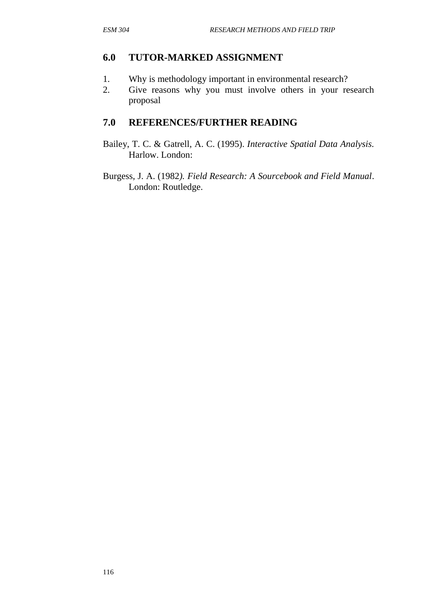#### **6.0 TUTOR-MARKED ASSIGNMENT**

- 1. Why is methodology important in environmental research?
- 2. Give reasons why you must involve others in your research proposal

#### **7.0 REFERENCES/FURTHER READING**

- Bailey, T. C. & Gatrell, A. C. (1995). *Interactive Spatial Data Analysis.*  Harlow. London:
- Burgess, J. A. (1982*). Field Research: A Sourcebook and Field Manual*. London: Routledge.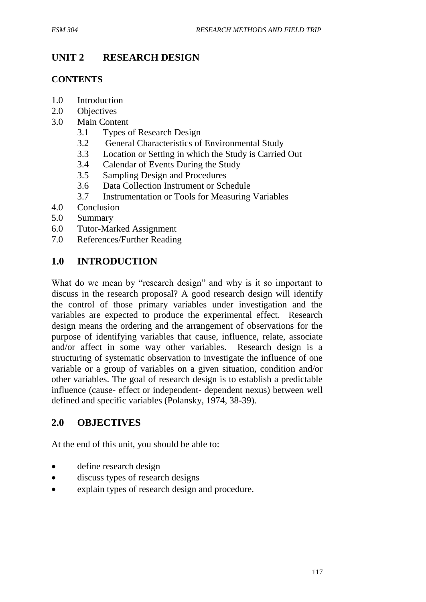# **UNIT 2 RESEARCH DESIGN**

#### **CONTENTS**

- 1.0 Introduction
- 2.0 Objectives
- 3.0 Main Content
	- 3.1 Types of Research Design
	- 3.2 General Characteristics of Environmental Study
	- 3.3 Location or Setting in which the Study is Carried Out
	- 3.4 Calendar of Events During the Study
	- 3.5 Sampling Design and Procedures
	- 3.6 Data Collection Instrument or Schedule
	- 3.7 Instrumentation or Tools for Measuring Variables
- 4.0 Conclusion
- 5.0 Summary
- 6.0 Tutor-Marked Assignment
- 7.0 References/Further Reading

# **1.0 INTRODUCTION**

What do we mean by "research design" and why is it so important to discuss in the research proposal? A good research design will identify the control of those primary variables under investigation and the variables are expected to produce the experimental effect. Research design means the ordering and the arrangement of observations for the purpose of identifying variables that cause, influence, relate, associate and/or affect in some way other variables. Research design is a structuring of systematic observation to investigate the influence of one variable or a group of variables on a given situation, condition and/or other variables. The goal of research design is to establish a predictable influence (cause- effect or independent- dependent nexus) between well defined and specific variables (Polansky, 1974, 38-39).

## **2.0 OBJECTIVES**

At the end of this unit, you should be able to:

- define research design
- discuss types of research designs
- explain types of research design and procedure.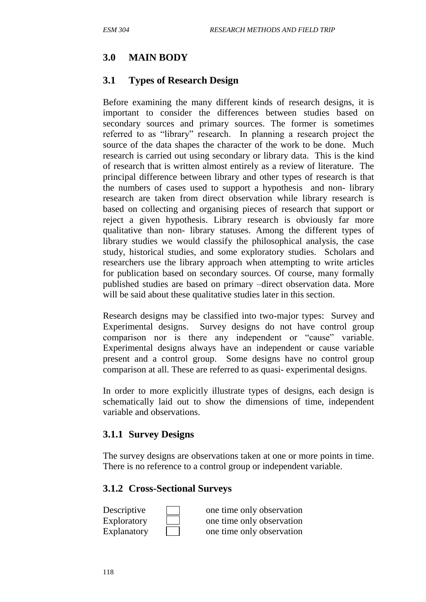# **3.0 MAIN BODY**

#### **3.1 Types of Research Design**

Before examining the many different kinds of research designs, it is important to consider the differences between studies based on secondary sources and primary sources. The former is sometimes referred to as "library" research. In planning a research project the source of the data shapes the character of the work to be done. Much research is carried out using secondary or library data. This is the kind of research that is written almost entirely as a review of literature. The principal difference between library and other types of research is that the numbers of cases used to support a hypothesis and non- library research are taken from direct observation while library research is based on collecting and organising pieces of research that support or reject a given hypothesis. Library research is obviously far more qualitative than non- library statuses. Among the different types of library studies we would classify the philosophical analysis, the case study, historical studies, and some exploratory studies. Scholars and researchers use the library approach when attempting to write articles for publication based on secondary sources. Of course, many formally published studies are based on primary –direct observation data. More will be said about these qualitative studies later in this section.

Research designs may be classified into two-major types: Survey and Experimental designs. Survey designs do not have control group comparison nor is there any independent or "cause" variable. Experimental designs always have an independent or cause variable present and a control group. Some designs have no control group comparison at all. These are referred to as quasi- experimental designs.

In order to more explicitly illustrate types of designs, each design is schematically laid out to show the dimensions of time, independent variable and observations.

## **3.1.1 Survey Designs**

The survey designs are observations taken at one or more points in time. There is no reference to a control group or independent variable.

#### **3.1.2 Cross-Sectional Surveys**



Descriptive one time only observation Exploratory one time only observation Explanatory **Conservation** one time only observation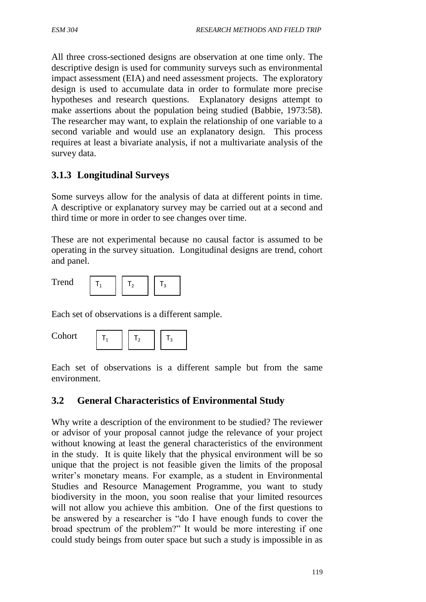All three cross-sectioned designs are observation at one time only. The descriptive design is used for community surveys such as environmental impact assessment (EIA) and need assessment projects. The exploratory design is used to accumulate data in order to formulate more precise hypotheses and research questions. Explanatory designs attempt to make assertions about the population being studied (Babbie, 1973:58). The researcher may want, to explain the relationship of one variable to a second variable and would use an explanatory design. This process requires at least a bivariate analysis, if not a multivariate analysis of the survey data.

## **3.1.3 Longitudinal Surveys**

Some surveys allow for the analysis of data at different points in time. A descriptive or explanatory survey may be carried out at a second and third time or more in order to see changes over time.

These are not experimental because no causal factor is assumed to be operating in the survey situation. Longitudinal designs are trend, cohort and panel.

| max |  |  | - |
|-----|--|--|---|
|-----|--|--|---|

Each set of observations is a different sample.

| $\Gamma$<br>'ohort |  |  |  |
|--------------------|--|--|--|
|--------------------|--|--|--|

Each set of observations is a different sample but from the same environment.

## **3.2 General Characteristics of Environmental Study**

Why write a description of the environment to be studied? The reviewer or advisor of your proposal cannot judge the relevance of your project without knowing at least the general characteristics of the environment in the study. It is quite likely that the physical environment will be so unique that the project is not feasible given the limits of the proposal writer's monetary means. For example, as a student in Environmental Studies and Resource Management Programme, you want to study biodiversity in the moon, you soon realise that your limited resources will not allow you achieve this ambition. One of the first questions to be answered by a researcher is "do I have enough funds to cover the broad spectrum of the problem?" It would be more interesting if one could study beings from outer space but such a study is impossible in as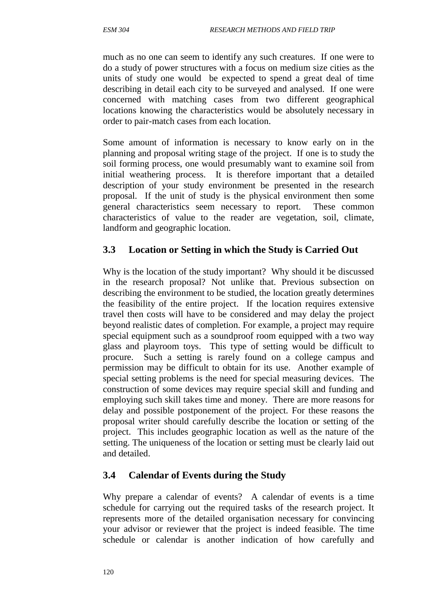much as no one can seem to identify any such creatures. If one were to do a study of power structures with a focus on medium size cities as the units of study one would be expected to spend a great deal of time describing in detail each city to be surveyed and analysed. If one were concerned with matching cases from two different geographical locations knowing the characteristics would be absolutely necessary in order to pair-match cases from each location.

Some amount of information is necessary to know early on in the planning and proposal writing stage of the project. If one is to study the soil forming process, one would presumably want to examine soil from initial weathering process. It is therefore important that a detailed description of your study environment be presented in the research proposal. If the unit of study is the physical environment then some general characteristics seem necessary to report. These common characteristics of value to the reader are vegetation, soil, climate, landform and geographic location.

#### **3.3 Location or Setting in which the Study is Carried Out**

Why is the location of the study important? Why should it be discussed in the research proposal? Not unlike that. Previous subsection on describing the environment to be studied, the location greatly determines the feasibility of the entire project. If the location requires extensive travel then costs will have to be considered and may delay the project beyond realistic dates of completion. For example, a project may require special equipment such as a soundproof room equipped with a two way glass and playroom toys. This type of setting would be difficult to procure. Such a setting is rarely found on a college campus and permission may be difficult to obtain for its use. Another example of special setting problems is the need for special measuring devices. The construction of some devices may require special skill and funding and employing such skill takes time and money. There are more reasons for delay and possible postponement of the project. For these reasons the proposal writer should carefully describe the location or setting of the project. This includes geographic location as well as the nature of the setting. The uniqueness of the location or setting must be clearly laid out and detailed.

## **3.4 Calendar of Events during the Study**

Why prepare a calendar of events? A calendar of events is a time schedule for carrying out the required tasks of the research project. It represents more of the detailed organisation necessary for convincing your advisor or reviewer that the project is indeed feasible. The time schedule or calendar is another indication of how carefully and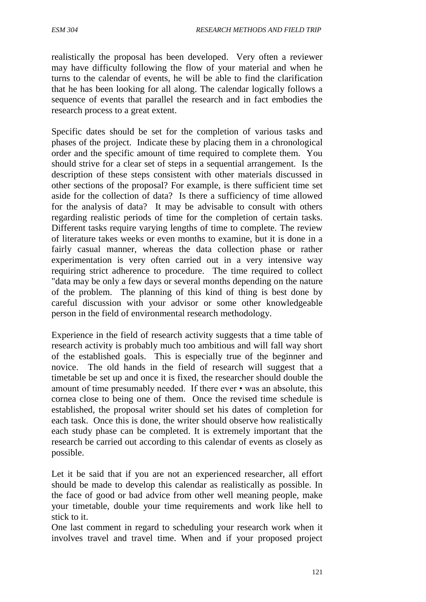realistically the proposal has been developed. Very often a reviewer may have difficulty following the flow of your material and when he turns to the calendar of events, he will be able to find the clarification that he has been looking for all along. The calendar logically follows a sequence of events that parallel the research and in fact embodies the research process to a great extent.

Specific dates should be set for the completion of various tasks and phases of the project. Indicate these by placing them in a chronological order and the specific amount of time required to complete them. You should strive for a clear set of steps in a sequential arrangement. Is the description of these steps consistent with other materials discussed in other sections of the proposal? For example, is there sufficient time set aside for the collection of data? Is there a sufficiency of time allowed for the analysis of data? It may be advisable to consult with others regarding realistic periods of time for the completion of certain tasks. Different tasks require varying lengths of time to complete. The review of literature takes weeks or even months to examine, but it is done in a fairly casual manner, whereas the data collection phase or rather experimentation is very often carried out in a very intensive way requiring strict adherence to procedure. The time required to collect "data may be only a few days or several months depending on the nature of the problem. The planning of this kind of thing is best done by careful discussion with your advisor or some other knowledgeable person in the field of environmental research methodology.

Experience in the field of research activity suggests that a time table of research activity is probably much too ambitious and will fall way short of the established goals. This is especially true of the beginner and novice. The old hands in the field of research will suggest that a timetable be set up and once it is fixed, the researcher should double the amount of time presumably needed. If there ever • was an absolute, this cornea close to being one of them. Once the revised time schedule is established, the proposal writer should set his dates of completion for each task. Once this is done, the writer should observe how realistically each study phase can be completed. It is extremely important that the research be carried out according to this calendar of events as closely as possible.

Let it be said that if you are not an experienced researcher, all effort should be made to develop this calendar as realistically as possible. In the face of good or bad advice from other well meaning people, make your timetable, double your time requirements and work like hell to stick to it.

One last comment in regard to scheduling your research work when it involves travel and travel time. When and if your proposed project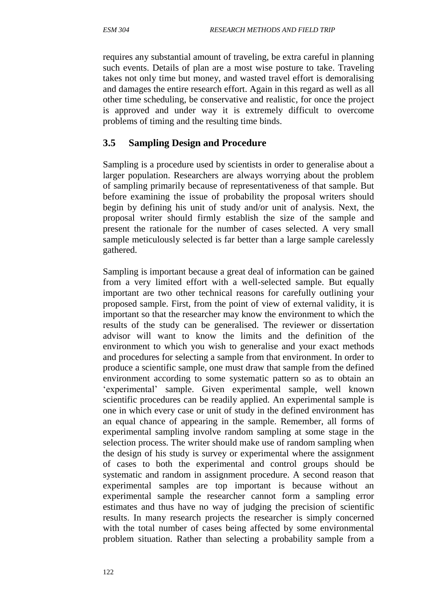requires any substantial amount of traveling, be extra careful in planning such events. Details of plan are a most wise posture to take. Traveling takes not only time but money, and wasted travel effort is demoralising and damages the entire research effort. Again in this regard as well as all other time scheduling, be conservative and realistic, for once the project is approved and under way it is extremely difficult to overcome problems of timing and the resulting time binds.

#### **3.5 Sampling Design and Procedure**

Sampling is a procedure used by scientists in order to generalise about a larger population. Researchers are always worrying about the problem of sampling primarily because of representativeness of that sample. But before examining the issue of probability the proposal writers should begin by defining his unit of study and/or unit of analysis. Next, the proposal writer should firmly establish the size of the sample and present the rationale for the number of cases selected. A very small sample meticulously selected is far better than a large sample carelessly gathered.

Sampling is important because a great deal of information can be gained from a very limited effort with a well-selected sample. But equally important are two other technical reasons for carefully outlining your proposed sample. First, from the point of view of external validity, it is important so that the researcher may know the environment to which the results of the study can be generalised. The reviewer or dissertation advisor will want to know the limits and the definition of the environment to which you wish to generalise and your exact methods and procedures for selecting a sample from that environment. In order to produce a scientific sample, one must draw that sample from the defined environment according to some systematic pattern so as to obtain an 'experimental' sample. Given experimental sample, well known scientific procedures can be readily applied. An experimental sample is one in which every case or unit of study in the defined environment has an equal chance of appearing in the sample. Remember, all forms of experimental sampling involve random sampling at some stage in the selection process. The writer should make use of random sampling when the design of his study is survey or experimental where the assignment of cases to both the experimental and control groups should be systematic and random in assignment procedure. A second reason that experimental samples are top important is because without an experimental sample the researcher cannot form a sampling error estimates and thus have no way of judging the precision of scientific results. In many research projects the researcher is simply concerned with the total number of cases being affected by some environmental problem situation. Rather than selecting a probability sample from a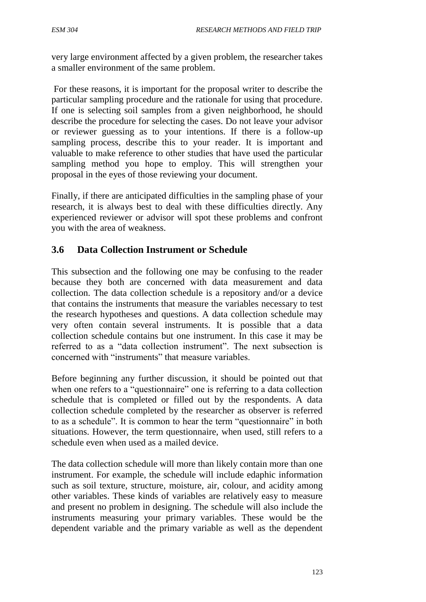very large environment affected by a given problem, the researcher takes a smaller environment of the same problem.

For these reasons, it is important for the proposal writer to describe the particular sampling procedure and the rationale for using that procedure. If one is selecting soil samples from a given neighborhood, he should describe the procedure for selecting the cases. Do not leave your advisor or reviewer guessing as to your intentions. If there is a follow-up sampling process, describe this to your reader. It is important and valuable to make reference to other studies that have used the particular sampling method you hope to employ. This will strengthen your proposal in the eyes of those reviewing your document.

Finally, if there are anticipated difficulties in the sampling phase of your research, it is always best to deal with these difficulties directly. Any experienced reviewer or advisor will spot these problems and confront you with the area of weakness.

## **3.6 Data Collection Instrument or Schedule**

This subsection and the following one may be confusing to the reader because they both are concerned with data measurement and data collection. The data collection schedule is a repository and/or a device that contains the instruments that measure the variables necessary to test the research hypotheses and questions. A data collection schedule may very often contain several instruments. It is possible that a data collection schedule contains but one instrument. In this case it may be referred to as a "data collection instrument". The next subsection is concerned with "instruments" that measure variables.

Before beginning any further discussion, it should be pointed out that when one refers to a "questionnaire" one is referring to a data collection schedule that is completed or filled out by the respondents. A data collection schedule completed by the researcher as observer is referred to as a schedule". It is common to hear the term "questionnaire" in both situations. However, the term questionnaire, when used, still refers to a schedule even when used as a mailed device.

The data collection schedule will more than likely contain more than one instrument. For example, the schedule will include edaphic information such as soil texture, structure, moisture, air, colour, and acidity among other variables. These kinds of variables are relatively easy to measure and present no problem in designing. The schedule will also include the instruments measuring your primary variables. These would be the dependent variable and the primary variable as well as the dependent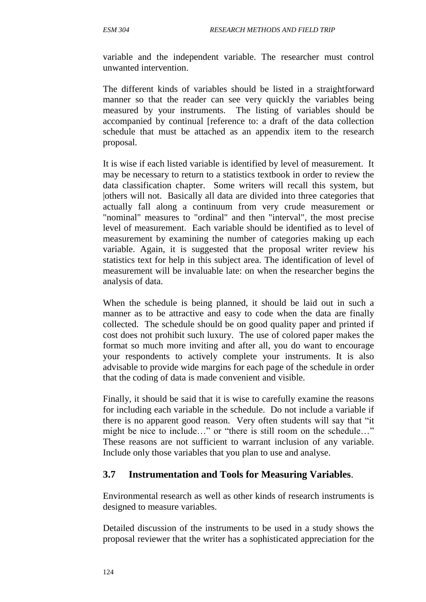variable and the independent variable. The researcher must control unwanted intervention.

The different kinds of variables should be listed in a straightforward manner so that the reader can see very quickly the variables being measured by your instruments. The listing of variables should be accompanied by continual [reference to: a draft of the data collection schedule that must be attached as an appendix item to the research proposal.

It is wise if each listed variable is identified by level of measurement. It may be necessary to return to a statistics textbook in order to review the data classification chapter. Some writers will recall this system, but |others will not. Basically all data are divided into three categories that actually fall along a continuum from very crude measurement or "nominal" measures to "ordinal" and then "interval", the most precise level of measurement. Each variable should be identified as to level of measurement by examining the number of categories making up each variable. Again, it is suggested that the proposal writer review his statistics text for help in this subject area. The identification of level of measurement will be invaluable late: on when the researcher begins the analysis of data.

When the schedule is being planned, it should be laid out in such a manner as to be attractive and easy to code when the data are finally collected. The schedule should be on good quality paper and printed if cost does not prohibit such luxury. The use of colored paper makes the format so much more inviting and after all, you do want to encourage your respondents to actively complete your instruments. It is also advisable to provide wide margins for each page of the schedule in order that the coding of data is made convenient and visible.

Finally, it should be said that it is wise to carefully examine the reasons for including each variable in the schedule. Do not include a variable if there is no apparent good reason. Very often students will say that "it might be nice to include…" or "there is still room on the schedule…" These reasons are not sufficient to warrant inclusion of any variable. Include only those variables that you plan to use and analyse.

#### **3.7 Instrumentation and Tools for Measuring Variables**.

Environmental research as well as other kinds of research instruments is designed to measure variables.

Detailed discussion of the instruments to be used in a study shows the proposal reviewer that the writer has a sophisticated appreciation for the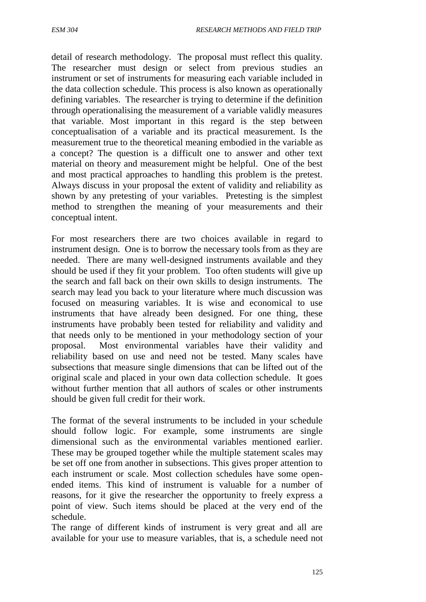detail of research methodology. The proposal must reflect this quality. The researcher must design or select from previous studies an instrument or set of instruments for measuring each variable included in the data collection schedule. This process is also known as operationally defining variables. The researcher is trying to determine if the definition through operationalising the measurement of a variable validly measures that variable. Most important in this regard is the step between conceptualisation of a variable and its practical measurement. Is the measurement true to the theoretical meaning embodied in the variable as a concept? The question is a difficult one to answer and other text material on theory and measurement might be helpful. One of the best and most practical approaches to handling this problem is the pretest. Always discuss in your proposal the extent of validity and reliability as shown by any pretesting of your variables. Pretesting is the simplest method to strengthen the meaning of your measurements and their conceptual intent.

For most researchers there are two choices available in regard to instrument design. One is to borrow the necessary tools from as they are needed. There are many well-designed instruments available and they should be used if they fit your problem. Too often students will give up the search and fall back on their own skills to design instruments. The search may lead you back to your literature where much discussion was focused on measuring variables. It is wise and economical to use instruments that have already been designed. For one thing, these instruments have probably been tested for reliability and validity and that needs only to be mentioned in your methodology section of your proposal. Most environmental variables have their validity and reliability based on use and need not be tested. Many scales have subsections that measure single dimensions that can be lifted out of the original scale and placed in your own data collection schedule. It goes without further mention that all authors of scales or other instruments should be given full credit for their work.

The format of the several instruments to be included in your schedule should follow logic. For example, some instruments are single dimensional such as the environmental variables mentioned earlier. These may be grouped together while the multiple statement scales may be set off one from another in subsections. This gives proper attention to each instrument or scale. Most collection schedules have some openended items. This kind of instrument is valuable for a number of reasons, for it give the researcher the opportunity to freely express a point of view. Such items should be placed at the very end of the schedule.

The range of different kinds of instrument is very great and all are available for your use to measure variables, that is, a schedule need not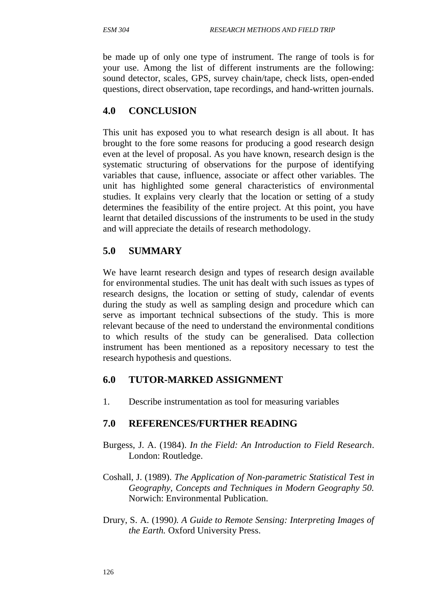be made up of only one type of instrument. The range of tools is for your use. Among the list of different instruments are the following: sound detector, scales, GPS, survey chain/tape, check lists, open-ended questions, direct observation, tape recordings, and hand-written journals.

## **4.0 CONCLUSION**

This unit has exposed you to what research design is all about. It has brought to the fore some reasons for producing a good research design even at the level of proposal. As you have known, research design is the systematic structuring of observations for the purpose of identifying variables that cause, influence, associate or affect other variables. The unit has highlighted some general characteristics of environmental studies. It explains very clearly that the location or setting of a study determines the feasibility of the entire project. At this point, you have learnt that detailed discussions of the instruments to be used in the study and will appreciate the details of research methodology.

# **5.0 SUMMARY**

We have learnt research design and types of research design available for environmental studies. The unit has dealt with such issues as types of research designs, the location or setting of study, calendar of events during the study as well as sampling design and procedure which can serve as important technical subsections of the study. This is more relevant because of the need to understand the environmental conditions to which results of the study can be generalised. Data collection instrument has been mentioned as a repository necessary to test the research hypothesis and questions.

## **6.0 TUTOR-MARKED ASSIGNMENT**

1. Describe instrumentation as tool for measuring variables

#### **7.0 REFERENCES/FURTHER READING**

- Burgess, J. A. (1984). *In the Field: An Introduction to Field Research*. London: Routledge.
- Coshall, J. (1989). *The Application of Non-parametric Statistical Test in Geography, Concepts and Techniques in Modern Geography 50.*  Norwich: Environmental Publication.
- Drury, S. A. (1990*). A Guide to Remote Sensing: Interpreting Images of the Earth.* Oxford University Press.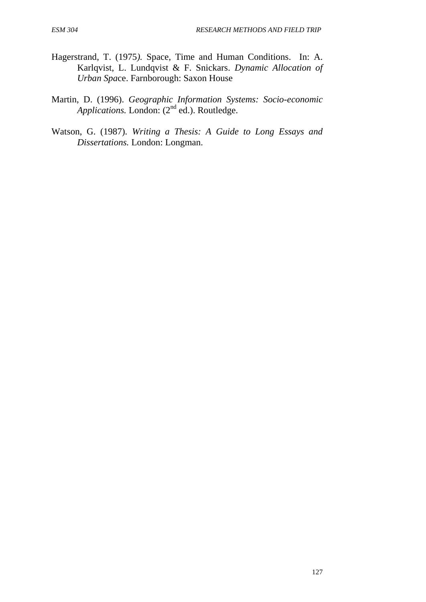- Hagerstrand, T. (1975*).* Space, Time and Human Conditions. In: A. Karlqvist, L. Lundqvist & F. Snickars. *Dynamic Allocation of Urban Spa*ce. Farnborough: Saxon House
- Martin, D. (1996). *Geographic Information Systems: Socio-economic*  Applications. London: (2<sup>nd</sup> ed.). Routledge.
- Watson, G. (1987). *Writing a Thesis: A Guide to Long Essays and Dissertations.* London: Longman.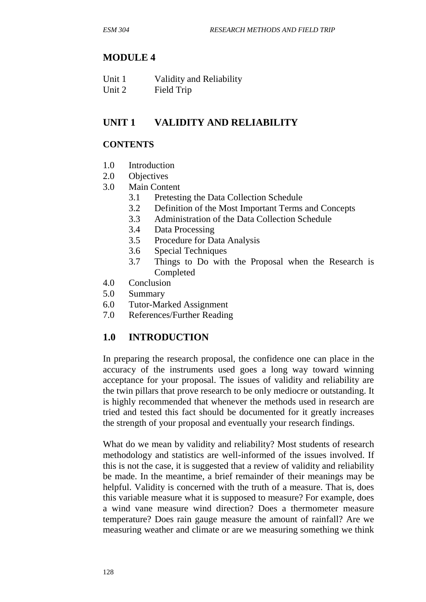#### **MODULE 4**

| Unit 1 | Validity and Reliability |
|--------|--------------------------|
| Unit 2 | Field Trip               |

#### **UNIT 1 VALIDITY AND RELIABILITY**

#### **CONTENTS**

- 1.0 Introduction
- 2.0 Objectives
- 3.0 Main Content
	- 3.1 Pretesting the Data Collection Schedule
	- 3.2 Definition of the Most Important Terms and Concepts
	- 3.3 Administration of the Data Collection Schedule
	- 3.4 Data Processing
	- 3.5 Procedure for Data Analysis
	- 3.6 Special Techniques
	- 3.7 Things to Do with the Proposal when the Research is Completed
- 4.0 Conclusion
- 5.0 Summary
- 6.0 Tutor-Marked Assignment
- 7.0 References/Further Reading

#### **1.0 INTRODUCTION**

In preparing the research proposal, the confidence one can place in the accuracy of the instruments used goes a long way toward winning acceptance for your proposal. The issues of validity and reliability are the twin pillars that prove research to be only mediocre or outstanding. It is highly recommended that whenever the methods used in research are tried and tested this fact should be documented for it greatly increases the strength of your proposal and eventually your research findings.

What do we mean by validity and reliability? Most students of research methodology and statistics are well-informed of the issues involved. If this is not the case, it is suggested that a review of validity and reliability be made. In the meantime, a brief remainder of their meanings may be helpful. Validity is concerned with the truth of a measure. That is, does this variable measure what it is supposed to measure? For example, does a wind vane measure wind direction? Does a thermometer measure temperature? Does rain gauge measure the amount of rainfall? Are we measuring weather and climate or are we measuring something we think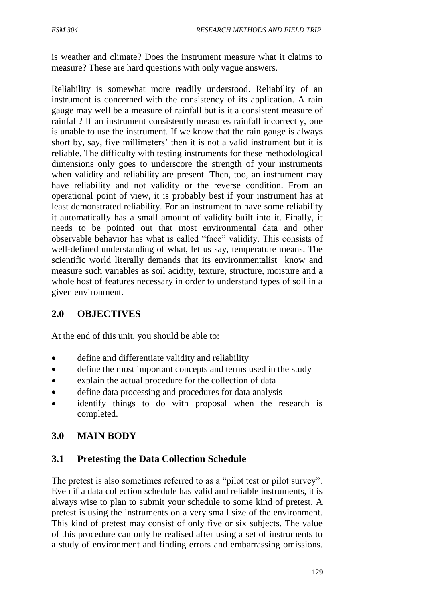is weather and climate? Does the instrument measure what it claims to measure? These are hard questions with only vague answers.

Reliability is somewhat more readily understood. Reliability of an instrument is concerned with the consistency of its application. A rain gauge may well be a measure of rainfall but is it a consistent measure of rainfall? If an instrument consistently measures rainfall incorrectly, one is unable to use the instrument. If we know that the rain gauge is always short by, say, five millimeters' then it is not a valid instrument but it is reliable. The difficulty with testing instruments for these methodological dimensions only goes to underscore the strength of your instruments when validity and reliability are present. Then, too, an instrument may have reliability and not validity or the reverse condition. From an operational point of view, it is probably best if your instrument has at least demonstrated reliability. For an instrument to have some reliability it automatically has a small amount of validity built into it. Finally, it needs to be pointed out that most environmental data and other observable behavior has what is called "face" validity. This consists of well-defined understanding of what, let us say, temperature means. The scientific world literally demands that its environmentalist know and measure such variables as soil acidity, texture, structure, moisture and a whole host of features necessary in order to understand types of soil in a given environment.

#### **2.0 OBJECTIVES**

At the end of this unit, you should be able to:

- define and differentiate validity and reliability
- define the most important concepts and terms used in the study
- explain the actual procedure for the collection of data
- define data processing and procedures for data analysis
- identify things to do with proposal when the research is completed.

#### **3.0 MAIN BODY**

## **3.1 Pretesting the Data Collection Schedule**

The pretest is also sometimes referred to as a "pilot test or pilot survey". Even if a data collection schedule has valid and reliable instruments, it is always wise to plan to submit your schedule to some kind of pretest. A pretest is using the instruments on a very small size of the environment. This kind of pretest may consist of only five or six subjects. The value of this procedure can only be realised after using a set of instruments to a study of environment and finding errors and embarrassing omissions.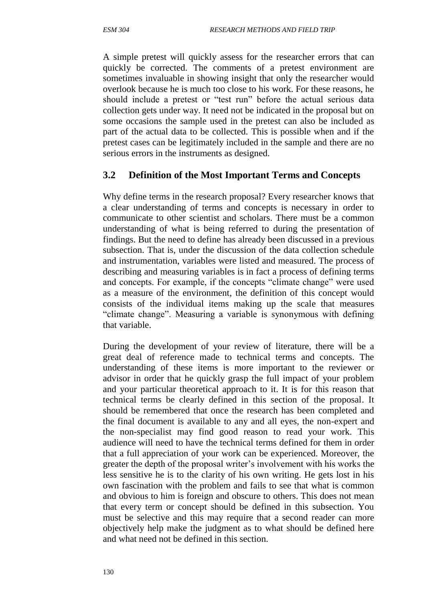A simple pretest will quickly assess for the researcher errors that can quickly be corrected. The comments of a pretest environment are sometimes invaluable in showing insight that only the researcher would overlook because he is much too close to his work. For these reasons, he should include a pretest or "test run" before the actual serious data collection gets under way. It need not be indicated in the proposal but on some occasions the sample used in the pretest can also be included as part of the actual data to be collected. This is possible when and if the pretest cases can be legitimately included in the sample and there are no serious errors in the instruments as designed.

#### **3.2 Definition of the Most Important Terms and Concepts**

Why define terms in the research proposal? Every researcher knows that a clear understanding of terms and concepts is necessary in order to communicate to other scientist and scholars. There must be a common understanding of what is being referred to during the presentation of findings. But the need to define has already been discussed in a previous subsection. That is, under the discussion of the data collection schedule and instrumentation, variables were listed and measured. The process of describing and measuring variables is in fact a process of defining terms and concepts. For example, if the concepts "climate change" were used as a measure of the environment, the definition of this concept would consists of the individual items making up the scale that measures "climate change". Measuring a variable is synonymous with defining that variable.

During the development of your review of literature, there will be a great deal of reference made to technical terms and concepts. The understanding of these items is more important to the reviewer or advisor in order that he quickly grasp the full impact of your problem and your particular theoretical approach to it. It is for this reason that technical terms be clearly defined in this section of the proposal. It should be remembered that once the research has been completed and the final document is available to any and all eyes, the non-expert and the non-specialist may find good reason to read your work. This audience will need to have the technical terms defined for them in order that a full appreciation of your work can be experienced. Moreover, the greater the depth of the proposal writer's involvement with his works the less sensitive he is to the clarity of his own writing. He gets lost in his own fascination with the problem and fails to see that what is common and obvious to him is foreign and obscure to others. This does not mean that every term or concept should be defined in this subsection. You must be selective and this may require that a second reader can more objectively help make the judgment as to what should be defined here and what need not be defined in this section.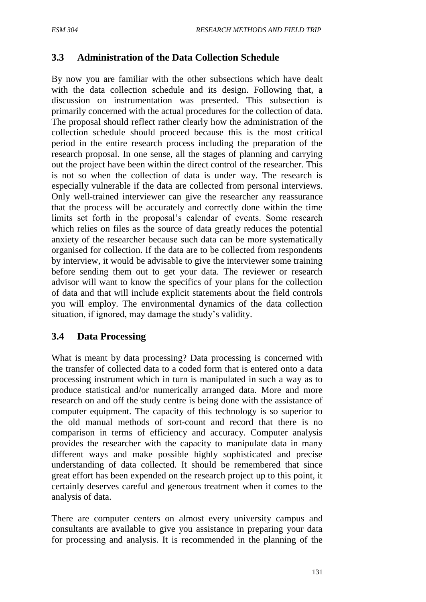#### **3.3 Administration of the Data Collection Schedule**

By now you are familiar with the other subsections which have dealt with the data collection schedule and its design. Following that, a discussion on instrumentation was presented. This subsection is primarily concerned with the actual procedures for the collection of data. The proposal should reflect rather clearly how the administration of the collection schedule should proceed because this is the most critical period in the entire research process including the preparation of the research proposal. In one sense, all the stages of planning and carrying out the project have been within the direct control of the researcher. This is not so when the collection of data is under way. The research is especially vulnerable if the data are collected from personal interviews. Only well-trained interviewer can give the researcher any reassurance that the process will be accurately and correctly done within the time limits set forth in the proposal's calendar of events. Some research which relies on files as the source of data greatly reduces the potential anxiety of the researcher because such data can be more systematically organised for collection. If the data are to be collected from respondents by interview, it would be advisable to give the interviewer some training before sending them out to get your data. The reviewer or research advisor will want to know the specifics of your plans for the collection of data and that will include explicit statements about the field controls you will employ. The environmental dynamics of the data collection situation, if ignored, may damage the study's validity.

#### **3.4 Data Processing**

What is meant by data processing? Data processing is concerned with the transfer of collected data to a coded form that is entered onto a data processing instrument which in turn is manipulated in such a way as to produce statistical and/or numerically arranged data. More and more research on and off the study centre is being done with the assistance of computer equipment. The capacity of this technology is so superior to the old manual methods of sort-count and record that there is no comparison in terms of efficiency and accuracy. Computer analysis provides the researcher with the capacity to manipulate data in many different ways and make possible highly sophisticated and precise understanding of data collected. It should be remembered that since great effort has been expended on the research project up to this point, it certainly deserves careful and generous treatment when it comes to the analysis of data.

There are computer centers on almost every university campus and consultants are available to give you assistance in preparing your data for processing and analysis. It is recommended in the planning of the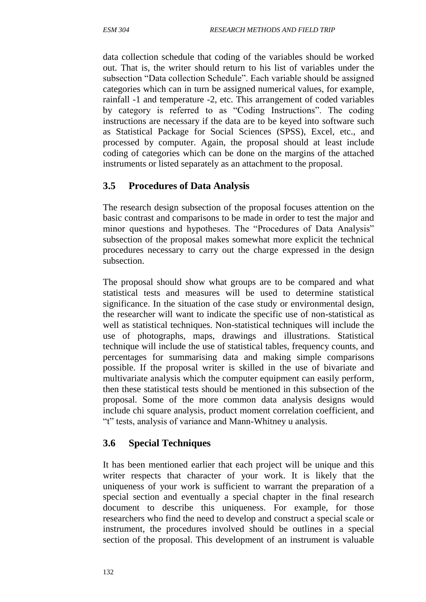data collection schedule that coding of the variables should be worked out. That is, the writer should return to his list of variables under the subsection "Data collection Schedule". Each variable should be assigned categories which can in turn be assigned numerical values, for example, rainfall -1 and temperature -2, etc. This arrangement of coded variables by category is referred to as "Coding Instructions". The coding instructions are necessary if the data are to be keyed into software such as Statistical Package for Social Sciences (SPSS), Excel, etc., and processed by computer. Again, the proposal should at least include coding of categories which can be done on the margins of the attached instruments or listed separately as an attachment to the proposal.

## **3.5 Procedures of Data Analysis**

The research design subsection of the proposal focuses attention on the basic contrast and comparisons to be made in order to test the major and minor questions and hypotheses. The "Procedures of Data Analysis" subsection of the proposal makes somewhat more explicit the technical procedures necessary to carry out the charge expressed in the design subsection.

The proposal should show what groups are to be compared and what statistical tests and measures will be used to determine statistical significance. In the situation of the case study or environmental design, the researcher will want to indicate the specific use of non-statistical as well as statistical techniques. Non-statistical techniques will include the use of photographs, maps, drawings and illustrations. Statistical technique will include the use of statistical tables, frequency counts, and percentages for summarising data and making simple comparisons possible. If the proposal writer is skilled in the use of bivariate and multivariate analysis which the computer equipment can easily perform, then these statistical tests should be mentioned in this subsection of the proposal. Some of the more common data analysis designs would include chi square analysis, product moment correlation coefficient, and "t" tests, analysis of variance and Mann-Whitney u analysis.

## **3.6 Special Techniques**

It has been mentioned earlier that each project will be unique and this writer respects that character of your work. It is likely that the uniqueness of your work is sufficient to warrant the preparation of a special section and eventually a special chapter in the final research document to describe this uniqueness. For example, for those researchers who find the need to develop and construct a special scale or instrument, the procedures involved should be outlines in a special section of the proposal. This development of an instrument is valuable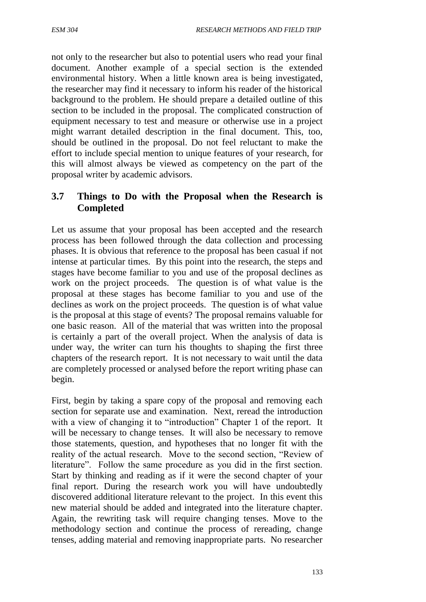not only to the researcher but also to potential users who read your final document. Another example of a special section is the extended environmental history. When a little known area is being investigated, the researcher may find it necessary to inform his reader of the historical background to the problem. He should prepare a detailed outline of this section to be included in the proposal. The complicated construction of equipment necessary to test and measure or otherwise use in a project might warrant detailed description in the final document. This, too, should be outlined in the proposal. Do not feel reluctant to make the effort to include special mention to unique features of your research, for this will almost always be viewed as competency on the part of the proposal writer by academic advisors.

## **3.7 Things to Do with the Proposal when the Research is Completed**

Let us assume that your proposal has been accepted and the research process has been followed through the data collection and processing phases. It is obvious that reference to the proposal has been casual if not intense at particular times. By this point into the research, the steps and stages have become familiar to you and use of the proposal declines as work on the project proceeds. The question is of what value is the proposal at these stages has become familiar to you and use of the declines as work on the project proceeds. The question is of what value is the proposal at this stage of events? The proposal remains valuable for one basic reason. All of the material that was written into the proposal is certainly a part of the overall project. When the analysis of data is under way, the writer can turn his thoughts to shaping the first three chapters of the research report. It is not necessary to wait until the data are completely processed or analysed before the report writing phase can begin.

First, begin by taking a spare copy of the proposal and removing each section for separate use and examination. Next, reread the introduction with a view of changing it to "introduction" Chapter 1 of the report. It will be necessary to change tenses. It will also be necessary to remove those statements, question, and hypotheses that no longer fit with the reality of the actual research. Move to the second section, "Review of literature". Follow the same procedure as you did in the first section. Start by thinking and reading as if it were the second chapter of your final report. During the research work you will have undoubtedly discovered additional literature relevant to the project. In this event this new material should be added and integrated into the literature chapter. Again, the rewriting task will require changing tenses. Move to the methodology section and continue the process of rereading, change tenses, adding material and removing inappropriate parts. No researcher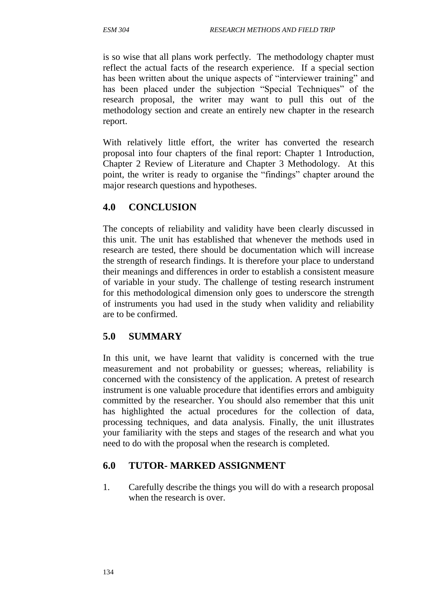is so wise that all plans work perfectly. The methodology chapter must reflect the actual facts of the research experience. If a special section has been written about the unique aspects of "interviewer training" and has been placed under the subjection "Special Techniques" of the research proposal, the writer may want to pull this out of the methodology section and create an entirely new chapter in the research report.

With relatively little effort, the writer has converted the research proposal into four chapters of the final report: Chapter 1 Introduction, Chapter 2 Review of Literature and Chapter 3 Methodology. At this point, the writer is ready to organise the "findings" chapter around the major research questions and hypotheses.

# **4.0 CONCLUSION**

The concepts of reliability and validity have been clearly discussed in this unit. The unit has established that whenever the methods used in research are tested, there should be documentation which will increase the strength of research findings. It is therefore your place to understand their meanings and differences in order to establish a consistent measure of variable in your study. The challenge of testing research instrument for this methodological dimension only goes to underscore the strength of instruments you had used in the study when validity and reliability are to be confirmed.

## **5.0 SUMMARY**

In this unit, we have learnt that validity is concerned with the true measurement and not probability or guesses; whereas, reliability is concerned with the consistency of the application. A pretest of research instrument is one valuable procedure that identifies errors and ambiguity committed by the researcher. You should also remember that this unit has highlighted the actual procedures for the collection of data, processing techniques, and data analysis. Finally, the unit illustrates your familiarity with the steps and stages of the research and what you need to do with the proposal when the research is completed.

## **6.0 TUTOR- MARKED ASSIGNMENT**

1. Carefully describe the things you will do with a research proposal when the research is over.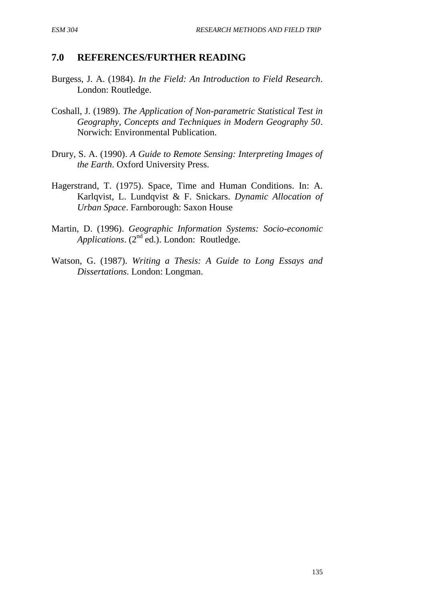#### **7.0 REFERENCES/FURTHER READING**

- Burgess, J. A. (1984). *In the Field: An Introduction to Field Research*. London: Routledge.
- Coshall, J. (1989). *The Application of Non-parametric Statistical Test in Geography, Concepts and Techniques in Modern Geography 50*. Norwich: Environmental Publication.
- Drury, S. A. (1990). *A Guide to Remote Sensing: Interpreting Images of the Earth*. Oxford University Press.
- Hagerstrand, T. (1975). Space, Time and Human Conditions. In: A. Karlqvist, L. Lundqvist & F. Snickars. *Dynamic Allocation of Urban Space*. Farnborough: Saxon House
- Martin, D. (1996). *Geographic Information Systems: Socio-economic Applications.* (2<sup>nd</sup> ed.). London: Routledge.
- Watson, G. (1987). *Writing a Thesis: A Guide to Long Essays and Dissertations*. London: Longman.